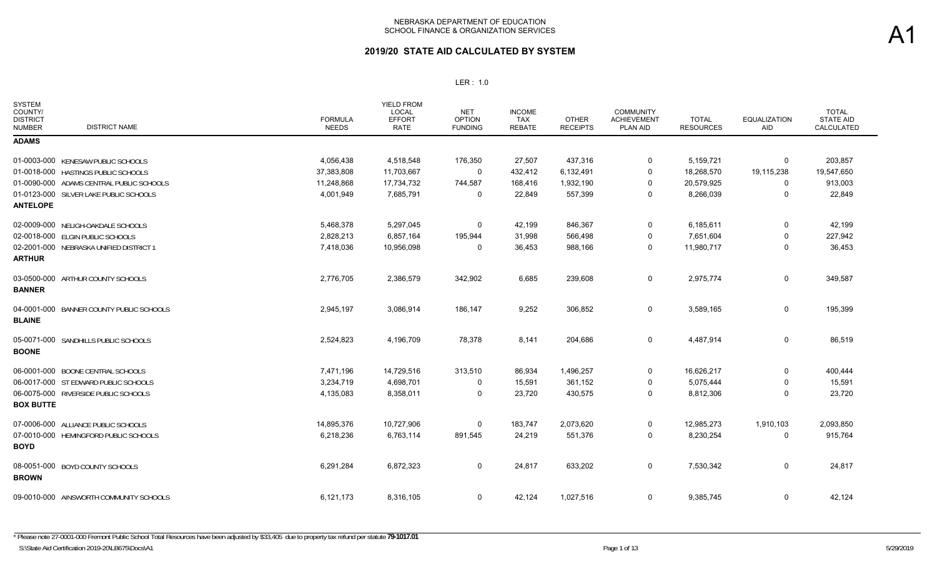| <b>SYSTEM</b><br>COUNTY/<br><b>DISTRICT</b><br><b>DISTRICT NAME</b><br><b>NUMBER</b> | <b>FORMULA</b><br><b>NEEDS</b> | YIELD FROM<br>LOCAL<br><b>EFFORT</b><br><b>RATE</b> | <b>NET</b><br><b>OPTION</b><br><b>FUNDING</b> | <b>INCOME</b><br><b>TAX</b><br><b>REBATE</b> | <b>OTHER</b><br><b>RECEIPTS</b> | <b>COMMUNITY</b><br><b>ACHIEVEMENT</b><br>PLAN AID | <b>TOTAL</b><br><b>RESOURCES</b> | <b>EQUALIZATION</b><br>AID | <b>TOTAL</b><br><b>STATE AID</b><br>CALCULATED |
|--------------------------------------------------------------------------------------|--------------------------------|-----------------------------------------------------|-----------------------------------------------|----------------------------------------------|---------------------------------|----------------------------------------------------|----------------------------------|----------------------------|------------------------------------------------|
| <b>ADAMS</b>                                                                         |                                |                                                     |                                               |                                              |                                 |                                                    |                                  |                            |                                                |
| 01-0003-000 KENESAW PUBLIC SCHOOLS                                                   | 4,056,438                      | 4,518,548                                           | 176,350                                       | 27,507                                       | 437,316                         | 0                                                  | 5,159,721                        | 0                          | 203,857                                        |
| 01-0018-000 HASTINGS PUBLIC SCHOOLS                                                  | 37,383,808                     | 11,703,667                                          | 0                                             | 432,412                                      | 6,132,491                       | 0                                                  | 18,268,570                       | 19,115,238                 | 19,547,650                                     |
| 01-0090-000 ADAMS CENTRAL PUBLIC SCHOOLS                                             | 11,248,868                     | 17,734,732                                          | 744,587                                       | 168,416                                      | 1,932,190                       | 0                                                  | 20,579,925                       | 0                          | 913,003                                        |
| 01-0123-000 SILVER LAKE PUBLIC SCHOOLS<br><b>ANTELOPE</b>                            | 4,001,949                      | 7,685,791                                           | 0                                             | 22,849                                       | 557,399                         | 0                                                  | 8,266,039                        | 0                          | 22,849                                         |
| 02-0009-000 NELIGH-OAKDALE SCHOOLS                                                   | 5,468,378                      | 5,297,045                                           | 0                                             | 42,199                                       | 846,367                         | 0                                                  | 6,185,611                        | 0                          | 42,199                                         |
| 02-0018-000 ELGIN PUBLIC SCHOOLS                                                     | 2,828,213                      | 6,857,164                                           | 195,944                                       | 31,998                                       | 566,498                         | 0                                                  | 7,651,604                        | 0                          | 227,942                                        |
| 02-2001-000 NEBRASKA UNIFIED DISTRICT 1<br><b>ARTHUR</b>                             | 7,418,036                      | 10,956,098                                          | 0                                             | 36,453                                       | 988,166                         | 0                                                  | 11,980,717                       | 0                          | 36,453                                         |
| 03-0500-000 ARTHUR COUNTY SCHOOLS<br><b>BANNER</b>                                   | 2,776,705                      | 2,386,579                                           | 342,902                                       | 6,685                                        | 239,608                         | 0                                                  | 2,975,774                        | $\mathbf 0$                | 349,587                                        |
| BANNER COUNTY PUBLIC SCHOOLS<br>04-0001-000<br><b>BLAINE</b>                         | 2,945,197                      | 3,086,914                                           | 186,147                                       | 9,252                                        | 306,852                         | 0                                                  | 3,589,165                        | 0                          | 195,399                                        |
| 05-0071-000 SANDHILLS PUBLIC SCHOOLS<br><b>BOONE</b>                                 | 2,524,823                      | 4,196,709                                           | 78,378                                        | 8,141                                        | 204,686                         | 0                                                  | 4,487,914                        | 0                          | 86,519                                         |
| 06-0001-000 BOONE CENTRAL SCHOOLS                                                    | 7,471,196                      | 14,729,516                                          | 313,510                                       | 86,934                                       | 1,496,257                       | 0                                                  | 16,626,217                       | 0                          | 400,444                                        |
| 06-0017-000 ST EDWARD PUBLIC SCHOOLS                                                 | 3,234,719                      | 4,698,701                                           | 0                                             | 15,591                                       | 361,152                         | 0                                                  | 5,075,444                        | 0                          | 15,591                                         |
| 06-0075-000 RIVERSIDE PUBLIC SCHOOLS<br><b>BOX BUTTE</b>                             | 4,135,083                      | 8,358,011                                           | $\mathbf 0$                                   | 23,720                                       | 430,575                         | 0                                                  | 8,812,306                        | 0                          | 23,720                                         |
| 07-0006-000 ALLIANCE PUBLIC SCHOOLS                                                  | 14,895,376                     | 10,727,906                                          | 0                                             | 183,747                                      | 2,073,620                       | 0                                                  | 12,985,273                       | 1,910,103                  | 2,093,850                                      |
| 07-0010-000 HEMINGFORD PUBLIC SCHOOLS<br><b>BOYD</b>                                 | 6,218,236                      | 6,763,114                                           | 891,545                                       | 24,219                                       | 551,376                         | 0                                                  | 8,230,254                        | 0                          | 915,764                                        |
| 08-0051-000 BOYD COUNTY SCHOOLS<br><b>BROWN</b>                                      | 6,291,284                      | 6,872,323                                           | 0                                             | 24,817                                       | 633,202                         | 0                                                  | 7,530,342                        | 0                          | 24,817                                         |
| 09-0010-000 AINSWORTH COMMUNITY SCHOOLS                                              | 6,121,173                      | 8,316,105                                           | 0                                             | 42,124                                       | 1,027,516                       | 0                                                  | 9,385,745                        | 0                          | 42,124                                         |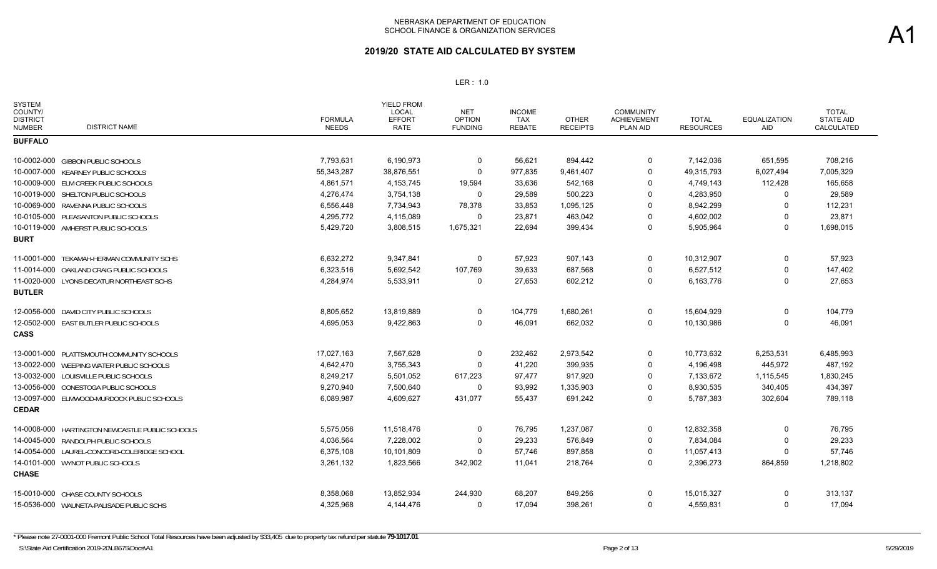| <b>SYSTEM</b><br>COUNTY/<br><b>DISTRICT</b><br><b>DISTRICT NAME</b><br><b>NUMBER</b> | <b>FORMULA</b><br><b>NEEDS</b> | <b>YIELD FROM</b><br><b>LOCAL</b><br><b>EFFORT</b><br><b>RATE</b> | <b>NET</b><br><b>OPTION</b><br><b>FUNDING</b> | <b>INCOME</b><br>TAX<br><b>REBATE</b> | <b>OTHER</b><br><b>RECEIPTS</b> | <b>COMMUNITY</b><br><b>ACHIEVEMENT</b><br>PLAN AID | <b>TOTAL</b><br><b>RESOURCES</b> | <b>EQUALIZATION</b><br><b>AID</b> | <b>TOTAL</b><br><b>STATE AID</b><br><b>CALCULATED</b> |
|--------------------------------------------------------------------------------------|--------------------------------|-------------------------------------------------------------------|-----------------------------------------------|---------------------------------------|---------------------------------|----------------------------------------------------|----------------------------------|-----------------------------------|-------------------------------------------------------|
| <b>BUFFALO</b>                                                                       |                                |                                                                   |                                               |                                       |                                 |                                                    |                                  |                                   |                                                       |
| 10-0002-000 GIBBON PUBLIC SCHOOLS                                                    | 7,793,631                      | 6,190,973                                                         | $\Omega$                                      | 56,621                                | 894,442                         | 0                                                  | 7,142,036                        | 651,595                           | 708,216                                               |
| 10-0007-000 KEARNEY PUBLIC SCHOOLS                                                   | 55,343,287                     | 38,876,551                                                        | 0                                             | 977,835                               | 9,461,407                       | 0                                                  | 49,315,793                       | 6,027,494                         | 7,005,329                                             |
| 10-0009-000 ELM CREEK PUBLIC SCHOOLS                                                 | 4,861,571                      | 4,153,745                                                         | 19,594                                        | 33,636                                | 542,168                         | 0                                                  | 4,749,143                        | 112,428                           | 165,658                                               |
| 10-0019-000 SHELTON PUBLIC SCHOOLS                                                   | 4,276,474                      | 3,754,138                                                         | 0                                             | 29,589                                | 500,223                         | 0                                                  | 4,283,950                        | 0                                 | 29,589                                                |
| 10-0069-000 RAVENNA PUBLIC SCHOOLS                                                   | 6,556,448                      | 7,734,943                                                         | 78,378                                        | 33,853                                | 1,095,125                       | $\Omega$                                           | 8,942,299                        | 0                                 | 112,231                                               |
| 10-0105-000 PLEASANTON PUBLIC SCHOOLS                                                | 4,295,772                      | 4,115,089                                                         | $\Omega$                                      | 23,871                                | 463,042                         | 0                                                  | 4,602,002                        | $\Omega$                          | 23,871                                                |
| 10-0119-000 AMHERST PUBLIC SCHOOLS                                                   | 5,429,720                      | 3,808,515                                                         | 1,675,321                                     | 22,694                                | 399,434                         | 0                                                  | 5,905,964                        | 0                                 | 1,698,015                                             |
| <b>BURT</b>                                                                          |                                |                                                                   |                                               |                                       |                                 |                                                    |                                  |                                   |                                                       |
| 11-0001-000 TEKAMAH-HERMAN COMMUNITY SCHS                                            | 6,632,272                      | 9,347,841                                                         | $\mathbf 0$                                   | 57,923                                | 907,143                         | $\Omega$                                           | 10,312,907                       | 0                                 | 57,923                                                |
| 11-0014-000 OAKLAND CRAIG PUBLIC SCHOOLS                                             | 6,323,516                      | 5,692,542                                                         | 107,769                                       | 39,633                                | 687,568                         | $\Omega$                                           | 6,527,512                        | 0                                 | 147,402                                               |
| 11-0020-000 LYONS-DECATUR NORTHEAST SCHS                                             | 4,284,974                      | 5,533,911                                                         | 0                                             | 27,653                                | 602,212                         | $\Omega$                                           | 6,163,776                        | 0                                 | 27,653                                                |
| <b>BUTLER</b>                                                                        |                                |                                                                   |                                               |                                       |                                 |                                                    |                                  |                                   |                                                       |
| 12-0056-000 DAVID CITY PUBLIC SCHOOLS                                                | 8,805,652                      | 13,819,889                                                        | 0                                             | 104,779                               | 1,680,261                       | 0                                                  | 15,604,929                       | 0                                 | 104,779                                               |
| 12-0502-000 EAST BUTLER PUBLIC SCHOOLS                                               | 4,695,053                      | 9,422,863                                                         | 0                                             | 46,091                                | 662,032                         | 0                                                  | 10,130,986                       | 0                                 | 46,091                                                |
| <b>CASS</b>                                                                          |                                |                                                                   |                                               |                                       |                                 |                                                    |                                  |                                   |                                                       |
| 13-0001-000 PLATTSMOUTH COMMUNITY SCHOOLS                                            | 17,027,163                     | 7,567,628                                                         | 0                                             | 232,462                               | 2,973,542                       | 0                                                  | 10,773,632                       | 6,253,531                         | 6,485,993                                             |
| 13-0022-000 WEEPING WATER PUBLIC SCHOOLS                                             | 4,642,470                      | 3,755,343                                                         | $\Omega$                                      | 41,220                                | 399,935                         | 0                                                  | 4,196,498                        | 445,972                           | 487,192                                               |
| 13-0032-000 LOUISVILLE PUBLIC SCHOOLS                                                | 8,249,217                      | 5,501,052                                                         | 617,223                                       | 97,477                                | 917,920                         | 0                                                  | 7,133,672                        | 1,115,545                         | 1,830,245                                             |
| 13-0056-000 CONESTOGA PUBLIC SCHOOLS                                                 | 9,270,940                      | 7,500,640                                                         | $\Omega$                                      | 93,992                                | 1,335,903                       | 0                                                  | 8,930,535                        | 340,405                           | 434,397                                               |
| 13-0097-000 ELMWOOD-MURDOCK PUBLIC SCHOOLS                                           | 6,089,987                      | 4,609,627                                                         | 431,077                                       | 55,437                                | 691,242                         | 0                                                  | 5,787,383                        | 302,604                           | 789,118                                               |
| <b>CEDAR</b>                                                                         |                                |                                                                   |                                               |                                       |                                 |                                                    |                                  |                                   |                                                       |
| 14-0008-000 HARTINGTON NEWCASTLE PUBLIC SCHOOLS                                      | 5,575,056                      | 11,518,476                                                        | $\mathbf 0$                                   | 76,795                                | 1,237,087                       | 0                                                  | 12,832,358                       | 0                                 | 76,795                                                |
| 14-0045-000 RANDOLPH PUBLIC SCHOOLS                                                  | 4,036,564                      | 7,228,002                                                         | $\Omega$                                      | 29,233                                | 576,849                         | $\Omega$                                           | 7,834,084                        | 0                                 | 29,233                                                |
| 14-0054-000 LAUREL-CONCORD-COLERIDGE SCHOOL                                          | 6,375,108                      | 10,101,809                                                        | $\Omega$                                      | 57,746                                | 897,858                         | 0                                                  | 11,057,413                       | 0                                 | 57,746                                                |
| 14-0101-000 WYNOT PUBLIC SCHOOLS                                                     | 3,261,132                      | 1,823,566                                                         | 342,902                                       | 11,041                                | 218,764                         | 0                                                  | 2,396,273                        | 864,859                           | 1,218,802                                             |
| <b>CHASE</b>                                                                         |                                |                                                                   |                                               |                                       |                                 |                                                    |                                  |                                   |                                                       |
| 15-0010-000 CHASE COUNTY SCHOOLS                                                     | 8,358,068                      | 13,852,934                                                        | 244,930                                       | 68,207                                | 849,256                         | 0                                                  | 15,015,327                       | 0                                 | 313,137                                               |
| 15-0536-000 WAUNETA-PALISADE PUBLIC SCHS                                             | 4,325,968                      | 4,144,476                                                         | 0                                             | 17,094                                | 398,261                         | 0                                                  | 4,559,831                        | 0                                 | 17,094                                                |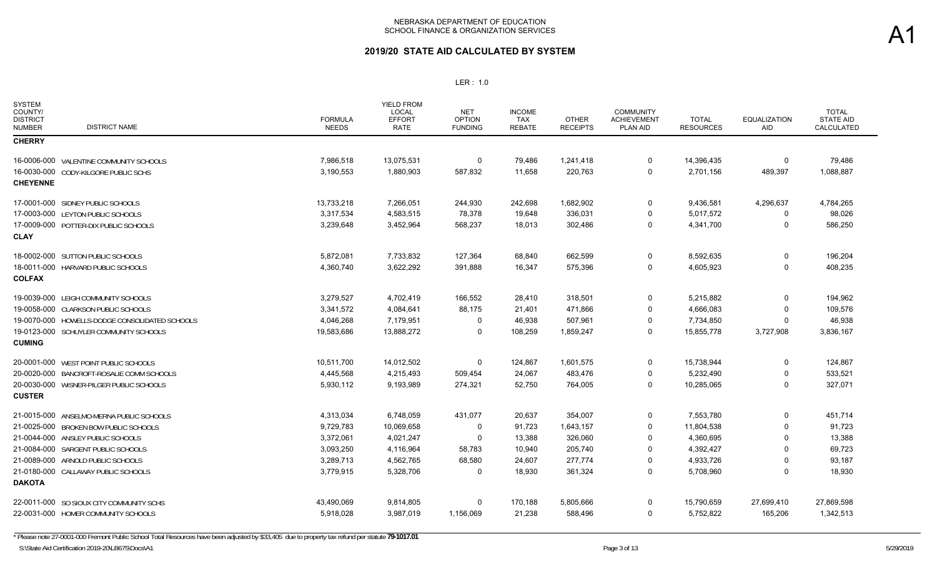## **2019/20 STATE AID CALCULATED BY SYSTEM**

| <b>SYSTEM</b><br>COUNTY/<br><b>DISTRICT</b><br><b>NUMBER</b> | <b>DISTRICT NAME</b>                           | <b>FORMULA</b><br><b>NEEDS</b> | <b>YIELD FROM</b><br><b>LOCAL</b><br><b>EFFORT</b><br><b>RATE</b> | <b>NET</b><br><b>OPTION</b><br><b>FUNDING</b> | <b>INCOME</b><br>TAX<br><b>REBATE</b> | <b>OTHER</b><br><b>RECEIPTS</b> | <b>COMMUNITY</b><br><b>ACHIEVEMENT</b><br>PLAN AID | <b>TOTAL</b><br><b>RESOURCES</b> | <b>EQUALIZATION</b><br>AID | <b>TOTAL</b><br><b>STATE AID</b><br>CALCULATED |
|--------------------------------------------------------------|------------------------------------------------|--------------------------------|-------------------------------------------------------------------|-----------------------------------------------|---------------------------------------|---------------------------------|----------------------------------------------------|----------------------------------|----------------------------|------------------------------------------------|
| <b>CHERRY</b>                                                |                                                |                                |                                                                   |                                               |                                       |                                 |                                                    |                                  |                            |                                                |
|                                                              | 16-0006-000 VALENTINE COMMUNITY SCHOOLS        | 7,986,518                      | 13,075,531                                                        | 0                                             | 79,486                                | 1,241,418                       | 0                                                  | 14,396,435                       | 0                          | 79,486                                         |
|                                                              | 16-0030-000 CODY-KILGORE PUBLIC SCHS           | 3,190,553                      | 1,880,903                                                         | 587,832                                       | 11,658                                | 220,763                         | $\Omega$                                           | 2,701,156                        | 489,397                    | 1,088,887                                      |
| <b>CHEYENNE</b>                                              |                                                |                                |                                                                   |                                               |                                       |                                 |                                                    |                                  |                            |                                                |
|                                                              | 17-0001-000 SIDNEY PUBLIC SCHOOLS              | 13,733,218                     | 7,266,051                                                         | 244,930                                       | 242,698                               | 1,682,902                       | $\mathbf 0$                                        | 9,436,581                        | 4,296,637                  | 4,784,265                                      |
|                                                              | 17-0003-000 LEYTON PUBLIC SCHOOLS              | 3,317,534                      | 4,583,515                                                         | 78,378                                        | 19,648                                | 336,031                         | $\mathbf 0$                                        | 5,017,572                        | 0                          | 98,026                                         |
|                                                              | 17-0009-000 POTTER-DIX PUBLIC SCHOOLS          | 3,239,648                      | 3,452,964                                                         | 568,237                                       | 18,013                                | 302,486                         | $\mathbf 0$                                        | 4,341,700                        | 0                          | 586,250                                        |
| <b>CLAY</b>                                                  |                                                |                                |                                                                   |                                               |                                       |                                 |                                                    |                                  |                            |                                                |
|                                                              | 18-0002-000 SUTTON PUBLIC SCHOOLS              | 5,872,081                      | 7,733,832                                                         | 127,364                                       | 68,840                                | 662,599                         | $\mathbf 0$                                        | 8,592,635                        | $\Omega$                   | 196,204                                        |
|                                                              | 18-0011-000 HARVARD PUBLIC SCHOOLS             | 4,360,740                      | 3,622,292                                                         | 391,888                                       | 16,347                                | 575,396                         | $\mathbf 0$                                        | 4,605,923                        | $\mathbf 0$                | 408,235                                        |
| <b>COLFAX</b>                                                |                                                |                                |                                                                   |                                               |                                       |                                 |                                                    |                                  |                            |                                                |
|                                                              | 19-0039-000 LEIGH COMMUNITY SCHOOLS            | 3,279,527                      | 4,702,419                                                         | 166,552                                       | 28,410                                | 318,501                         | $\mathbf 0$                                        | 5,215,882                        | $\Omega$                   | 194,962                                        |
|                                                              | 19-0058-000 CLARKSON PUBLIC SCHOOLS            | 3,341,572                      | 4,084,641                                                         | 88,175                                        | 21,401                                | 471,866                         | 0                                                  | 4,666,083                        | 0                          | 109,576                                        |
|                                                              | 19-0070-000 HOWELLS-DODGE CONSOLIDATED SCHOOLS | 4,046,268                      | 7,179,951                                                         | $\Omega$                                      | 46,938                                | 507,961                         | $\mathbf 0$                                        | 7,734,850                        | 0                          | 46,938                                         |
|                                                              | 19-0123-000 SCHUYLER COMMUNITY SCHOOLS         | 19,583,686                     | 13,888,272                                                        | 0                                             | 108,259                               | 1,859,247                       | $\mathbf 0$                                        | 15,855,778                       | 3,727,908                  | 3,836,167                                      |
| <b>CUMING</b>                                                |                                                |                                |                                                                   |                                               |                                       |                                 |                                                    |                                  |                            |                                                |
|                                                              | 20-0001-000 WEST POINT PUBLIC SCHOOLS          | 10,511,700                     | 14,012,502                                                        | 0                                             | 124,867                               | 1,601,575                       | $\mathbf 0$                                        | 15,738,944                       | 0                          | 124,867                                        |
|                                                              | 20-0020-000 BANCROFT-ROSALIE COMM SCHOOLS      | 4,445,568                      | 4,215,493                                                         | 509,454                                       | 24,067                                | 483,476                         | $\mathbf 0$                                        | 5,232,490                        | $\Omega$                   | 533,521                                        |
|                                                              | 20-0030-000 WISNER-PILGER PUBLIC SCHOOLS       | 5,930,112                      | 9,193,989                                                         | 274,321                                       | 52,750                                | 764,005                         | $\mathbf 0$                                        | 10,285,065                       | $\Omega$                   | 327,071                                        |
| <b>CUSTER</b>                                                |                                                |                                |                                                                   |                                               |                                       |                                 |                                                    |                                  |                            |                                                |
|                                                              | 21-0015-000 ANSELMO-MERNA PUBLIC SCHOOLS       | 4,313,034                      | 6,748,059                                                         | 431,077                                       | 20,637                                | 354,007                         | $\mathbf 0$                                        | 7,553,780                        | $\Omega$                   | 451,714                                        |
|                                                              | 21-0025-000 BROKEN BOW PUBLIC SCHOOLS          | 9,729,783                      | 10,069,658                                                        | $\Omega$                                      | 91,723                                | 1,643,157                       | $\mathbf 0$                                        | 11,804,538                       | $\Omega$                   | 91,723                                         |
|                                                              | 21-0044-000 ANSLEY PUBLIC SCHOOLS              | 3,372,061                      | 4,021,247                                                         | 0                                             | 13,388                                | 326,060                         | $\overline{0}$                                     | 4,360,695                        |                            | 13,388                                         |
|                                                              | 21-0084-000 SARGENT PUBLIC SCHOOLS             | 3,093,250                      | 4,116,964                                                         | 58,783                                        | 10,940                                | 205,740                         | $\mathbf 0$                                        | 4,392,427                        |                            | 69,723                                         |
|                                                              | 21-0089-000 ARNOLD PUBLIC SCHOOLS              | 3,289,713                      | 4,562,765                                                         | 68,580                                        | 24,607                                | 277,774                         | $\mathbf 0$                                        | 4,933,726                        | $\Omega$                   | 93,187                                         |
|                                                              | 21-0180-000 CALLAWAY PUBLIC SCHOOLS            | 3,779,915                      | 5,328,706                                                         | $\Omega$                                      | 18,930                                | 361,324                         | $\Omega$                                           | 5,708,960                        | $\Omega$                   | 18,930                                         |
| <b>DAKOTA</b>                                                |                                                |                                |                                                                   |                                               |                                       |                                 |                                                    |                                  |                            |                                                |
|                                                              | 22-0011-000 SO SIOUX CITY COMMUNITY SCHS       | 43,490,069                     | 9,814,805                                                         | $\Omega$                                      | 170,188                               | 5,805,666                       | $\Omega$                                           | 15,790,659                       | 27,699,410                 | 27,869,598                                     |
|                                                              | 22-0031-000 HOMER COMMUNITY SCHOOLS            | 5,918,028                      | 3,987,019                                                         | 1,156,069                                     | 21,238                                | 588,496                         | $\Omega$                                           | 5,752,822                        | 165,206                    | 1,342,513                                      |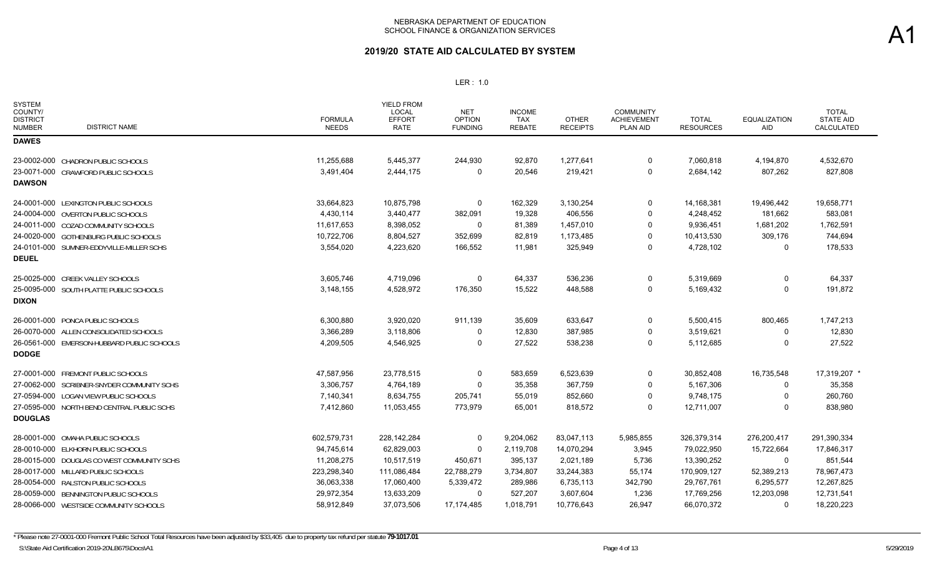## **2019/20 STATE AID CALCULATED BY SYSTEM**

| <b>SYSTEM</b><br>COUNTY/<br><b>DISTRICT</b><br><b>DISTRICT NAME</b><br><b>NUMBER</b> | <b>FORMULA</b><br><b>NEEDS</b> | YIELD FROM<br>LOCAL<br><b>EFFORT</b><br><b>RATE</b> | <b>NET</b><br><b>OPTION</b><br><b>FUNDING</b> | <b>INCOME</b><br><b>TAX</b><br><b>REBATE</b> | <b>OTHER</b><br><b>RECEIPTS</b> | <b>COMMUNITY</b><br><b>ACHIEVEMENT</b><br>PLAN AID | <b>TOTAL</b><br><b>RESOURCES</b> | <b>EQUALIZATION</b><br>AID | <b>TOTAL</b><br><b>STATE AID</b><br>CALCULATED |
|--------------------------------------------------------------------------------------|--------------------------------|-----------------------------------------------------|-----------------------------------------------|----------------------------------------------|---------------------------------|----------------------------------------------------|----------------------------------|----------------------------|------------------------------------------------|
| <b>DAWES</b>                                                                         |                                |                                                     |                                               |                                              |                                 |                                                    |                                  |                            |                                                |
| 23-0002-000 CHADRON PUBLIC SCHOOLS                                                   | 11,255,688                     | 5,445,377                                           | 244,930                                       | 92,870                                       | 1,277,641                       | 0                                                  | 7,060,818                        | 4,194,870                  | 4,532,670                                      |
| 23-0071-000 CRAWFORD PUBLIC SCHOOLS                                                  | 3,491,404                      | 2,444,175                                           | 0                                             | 20,546                                       | 219,421                         | $\Omega$                                           | 2,684,142                        | 807,262                    | 827,808                                        |
| <b>DAWSON</b>                                                                        |                                |                                                     |                                               |                                              |                                 |                                                    |                                  |                            |                                                |
| 24-0001-000 LEXINGTON PUBLIC SCHOOLS                                                 | 33,664,823                     | 10,875,798                                          | 0                                             | 162,329                                      | 3,130,254                       | 0                                                  | 14,168,381                       | 19,496,442                 | 19,658,771                                     |
| 24-0004-000 OVERTON PUBLIC SCHOOLS                                                   | 4,430,114                      | 3,440,477                                           | 382,091                                       | 19,328                                       | 406,556                         | $\Omega$                                           | 4,248,452                        | 181,662                    | 583,081                                        |
| 24-0011-000 COZAD COMMUNITY SCHOOLS                                                  | 11,617,653                     | 8,398,052                                           | 0                                             | 81,389                                       | 1,457,010                       | $\Omega$                                           | 9,936,451                        | 1,681,202                  | 1,762,591                                      |
| 24-0020-000 GOTHENBURG PUBLIC SCHOOLS                                                | 10,722,706                     | 8,804,527                                           | 352,699                                       | 82,819                                       | 1,173,485                       | $\mathbf{0}$                                       | 10,413,530                       | 309,176                    | 744,694                                        |
| 24-0101-000 SUMNER-EDDYVILLE-MILLER SCHS                                             | 3,554,020                      | 4,223,620                                           | 166,552                                       | 11,981                                       | 325,949                         | 0                                                  | 4,728,102                        | 0                          | 178,533                                        |
| <b>DEUEL</b>                                                                         |                                |                                                     |                                               |                                              |                                 |                                                    |                                  |                            |                                                |
| 25-0025-000 CREEK VALLEY SCHOOLS                                                     | 3,605,746                      | 4,719,096                                           | $\Omega$                                      | 64,337                                       | 536,236                         | $\Omega$                                           | 5,319,669                        | $\Omega$                   | 64,337                                         |
| 25-0095-000 SOUTH PLATTE PUBLIC SCHOOLS                                              | 3,148,155                      | 4,528,972                                           | 176,350                                       | 15,522                                       | 448,588                         | 0                                                  | 5,169,432                        | $\Omega$                   | 191,872                                        |
| <b>DIXON</b>                                                                         |                                |                                                     |                                               |                                              |                                 |                                                    |                                  |                            |                                                |
| 26-0001-000 PONCA PUBLIC SCHOOLS                                                     | 6,300,880                      | 3,920,020                                           | 911,139                                       | 35,609                                       | 633,647                         | $\Omega$                                           | 5,500,415                        | 800,465                    | 1,747,213                                      |
| 26-0070-000 ALLEN CONSOLIDATED SCHOOLS                                               | 3,366,289                      | 3,118,806                                           | 0                                             | 12,830                                       | 387,985                         | 0                                                  | 3,519,621                        | 0                          | 12,830                                         |
| 26-0561-000 EMERSON-HUBBARD PUBLIC SCHOOLS                                           | 4,209,505                      | 4,546,925                                           | $\Omega$                                      | 27,522                                       | 538,238                         | $\Omega$                                           | 5,112,685                        | $\Omega$                   | 27,522                                         |
| <b>DODGE</b>                                                                         |                                |                                                     |                                               |                                              |                                 |                                                    |                                  |                            |                                                |
| 27-0001-000 FREMONT PUBLIC SCHOOLS                                                   | 47,587,956                     | 23,778,515                                          | 0                                             | 583,659                                      | 6,523,639                       | $\Omega$                                           | 30,852,408                       | 16,735,548                 | 17,319,207 *                                   |
| 27-0062-000 SCRIBNER-SNYDER COMMUNITY SCHS                                           | 3,306,757                      | 4,764,189                                           | $\Omega$                                      | 35,358                                       | 367,759                         | $\Omega$                                           | 5,167,306                        | $\Omega$                   | 35,358                                         |
| 27-0594-000 LOGAN VIEW PUBLIC SCHOOLS                                                | 7,140,341                      | 8,634,755                                           | 205,741                                       | 55,019                                       | 852,660                         | 0                                                  | 9,748,175                        | $\Omega$                   | 260,760                                        |
| 27-0595-000 NORTH BEND CENTRAL PUBLIC SCHS                                           | 7,412,860                      | 11,053,455                                          | 773,979                                       | 65,001                                       | 818,572                         | $\Omega$                                           | 12,711,007                       | $\Omega$                   | 838,980                                        |
| <b>DOUGLAS</b>                                                                       |                                |                                                     |                                               |                                              |                                 |                                                    |                                  |                            |                                                |
| 28-0001-000 OMAHA PUBLIC SCHOOLS                                                     | 602,579,731                    | 228, 142, 284                                       | 0                                             | 9,204,062                                    | 83,047,113                      | 5,985,855                                          | 326,379,314                      | 276,200,417                | 291,390,334                                    |
| 28-0010-000 ELKHORN PUBLIC SCHOOLS                                                   | 94,745,614                     | 62,829,003                                          | $\Omega$                                      | 2,119,708                                    | 14,070,294                      | 3,945                                              | 79,022,950                       | 15,722,664                 | 17,846,317                                     |
| 28-0015-000 DOUGLAS CO WEST COMMUNITY SCHS                                           | 11,208,275                     | 10,517,519                                          | 450,671                                       | 395,137                                      | 2,021,189                       | 5,736                                              | 13,390,252                       | 0                          | 851,544                                        |
| 28-0017-000 MILLARD PUBLIC SCHOOLS                                                   | 223,298,340                    | 111,086,484                                         | 22,788,279                                    | 3,734,807                                    | 33,244,383                      | 55,174                                             | 170,909,127                      | 52,389,213                 | 78,967,473                                     |
| 28-0054-000 RALSTON PUBLIC SCHOOLS                                                   | 36,063,338                     | 17,060,400                                          | 5,339,472                                     | 289,986                                      | 6,735,113                       | 342,790                                            | 29,767,761                       | 6,295,577                  | 12,267,825                                     |
| 28-0059-000 BENNINGTON PUBLIC SCHOOLS                                                | 29,972,354                     | 13,633,209                                          | 0                                             | 527,207                                      | 3,607,604                       | 1,236                                              | 17,769,256                       | 12,203,098                 | 12,731,541                                     |
| 28-0066-000 WESTSIDE COMMUNITY SCHOOLS                                               | 58,912,849                     | 37,073,506                                          | 17,174,485                                    | 1,018,791                                    | 10,776,643                      | 26,947                                             | 66,070,372                       | $\Omega$                   | 18,220,223                                     |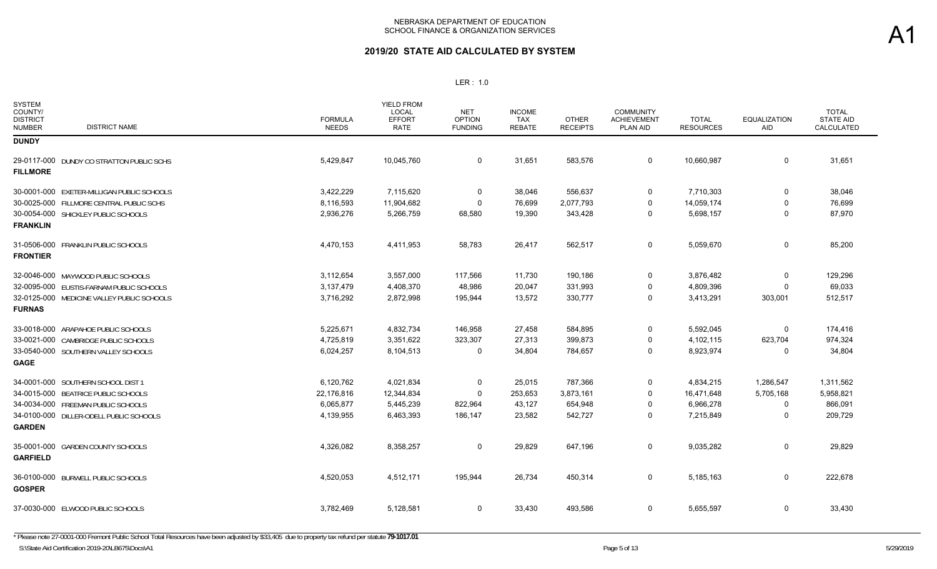| <b>SYSTEM</b><br>COUNTY/<br><b>DISTRICT</b><br><b>NUMBER</b> | <b>DISTRICT NAME</b>                       | <b>FORMULA</b><br><b>NEEDS</b> | YIELD FROM<br><b>LOCAL</b><br><b>EFFORT</b><br>RATE | <b>NET</b><br><b>OPTION</b><br><b>FUNDING</b> | <b>INCOME</b><br><b>TAX</b><br><b>REBATE</b> | <b>OTHER</b><br><b>RECEIPTS</b> | <b>COMMUNITY</b><br><b>ACHIEVEMENT</b><br>PLAN AID | <b>TOTAL</b><br><b>RESOURCES</b> | <b>EQUALIZATION</b><br>AID | <b>TOTAL</b><br><b>STATE AID</b><br><b>CALCULATED</b> |
|--------------------------------------------------------------|--------------------------------------------|--------------------------------|-----------------------------------------------------|-----------------------------------------------|----------------------------------------------|---------------------------------|----------------------------------------------------|----------------------------------|----------------------------|-------------------------------------------------------|
| <b>DUNDY</b>                                                 |                                            |                                |                                                     |                                               |                                              |                                 |                                                    |                                  |                            |                                                       |
| <b>FILLMORE</b>                                              | 29-0117-000 DUNDY CO STRATTON PUBLIC SCHS  | 5,429,847                      | 10,045,760                                          | $\mathbf 0$                                   | 31,651                                       | 583,576                         | $\mathbf 0$                                        | 10,660,987                       | $\mathbf 0$                | 31,651                                                |
|                                                              | 30-0001-000 EXETER-MILLIGAN PUBLIC SCHOOLS | 3,422,229                      | 7,115,620                                           | 0                                             | 38,046                                       | 556,637                         | 0                                                  | 7,710,303                        | $\mathbf 0$                | 38,046                                                |
|                                                              | 30-0025-000 FILLMORE CENTRAL PUBLIC SCHS   | 8,116,593                      | 11,904,682                                          | 0                                             | 76,699                                       | 2,077,793                       | 0                                                  | 14,059,174                       | $\Omega$                   | 76,699                                                |
| <b>FRANKLIN</b>                                              | 30-0054-000 SHICKLEY PUBLIC SCHOOLS        | 2,936,276                      | 5,266,759                                           | 68,580                                        | 19,390                                       | 343,428                         | 0                                                  | 5,698,157                        | $\mathbf 0$                | 87,970                                                |
| <b>FRONTIER</b>                                              | 31-0506-000 FRANKLIN PUBLIC SCHOOLS        | 4,470,153                      | 4,411,953                                           | 58,783                                        | 26,417                                       | 562,517                         | $\mathbf 0$                                        | 5,059,670                        | 0                          | 85,200                                                |
|                                                              | 32-0046-000 MAYWOOD PUBLIC SCHOOLS         | 3,112,654                      | 3,557,000                                           | 117,566                                       | 11,730                                       | 190,186                         | $\mathbf 0$                                        | 3,876,482                        | $\mathbf 0$                | 129,296                                               |
|                                                              | 32-0095-000 EUSTIS-FARNAM PUBLIC SCHOOLS   | 3,137,479                      | 4,408,370                                           | 48,986                                        | 20,047                                       | 331,993                         | 0                                                  | 4,809,396                        | $\Omega$                   | 69,033                                                |
| <b>FURNAS</b>                                                | 32-0125-000 MEDICINE VALLEY PUBLIC SCHOOLS | 3,716,292                      | 2,872,998                                           | 195,944                                       | 13,572                                       | 330,777                         | $\Omega$                                           | 3,413,291                        | 303,001                    | 512,517                                               |
|                                                              | 33-0018-000 ARAPAHOE PUBLIC SCHOOLS        | 5,225,671                      | 4,832,734                                           | 146,958                                       | 27,458                                       | 584,895                         | 0                                                  | 5,592,045                        | 0                          | 174,416                                               |
|                                                              | 33-0021-000 CAMBRIDGE PUBLIC SCHOOLS       | 4,725,819                      | 3,351,622                                           | 323,307                                       | 27,313                                       | 399,873                         | $\Omega$                                           | 4,102,115                        | 623,704                    | 974,324                                               |
| <b>GAGE</b>                                                  | 33-0540-000 SOUTHERN VALLEY SCHOOLS        | 6,024,257                      | 8,104,513                                           | 0                                             | 34,804                                       | 784,657                         | 0                                                  | 8,923,974                        | 0                          | 34,804                                                |
|                                                              | 34-0001-000 SOUTHERN SCHOOL DIST 1         | 6,120,762                      | 4,021,834                                           | 0                                             | 25,015                                       | 787,366                         | $\Omega$                                           | 4,834,215                        | 1,286,547                  | 1,311,562                                             |
|                                                              | 34-0015-000 BEATRICE PUBLIC SCHOOLS        | 22,176,816                     | 12,344,834                                          | $\mathbf 0$                                   | 253,653                                      | 3,873,161                       | $\mathbf 0$                                        | 16,471,648                       | 5,705,168                  | 5,958,821                                             |
|                                                              | 34-0034-000 FREEMAN PUBLIC SCHOOLS         | 6,065,877                      | 5,445,239                                           | 822,964                                       | 43,127                                       | 654,948                         | $\Omega$                                           | 6,966,278                        | $\Omega$                   | 866,091                                               |
| <b>GARDEN</b>                                                | 34-0100-000 DILLER-ODELL PUBLIC SCHOOLS    | 4,139,955                      | 6,463,393                                           | 186,147                                       | 23,582                                       | 542,727                         | 0                                                  | 7,215,849                        | $\mathbf 0$                | 209,729                                               |
| <b>GARFIELD</b>                                              | 35-0001-000 GARDEN COUNTY SCHOOLS          | 4,326,082                      | 8,358,257                                           | 0                                             | 29,829                                       | 647,196                         | $\mathbf 0$                                        | 9,035,282                        | 0                          | 29,829                                                |
| <b>GOSPER</b>                                                | 36-0100-000 BURWELL PUBLIC SCHOOLS         | 4,520,053                      | 4,512,171                                           | 195,944                                       | 26,734                                       | 450,314                         | 0                                                  | 5,185,163                        | 0                          | 222,678                                               |
|                                                              | 37-0030-000 ELWOOD PUBLIC SCHOOLS          | 3,782,469                      | 5,128,581                                           | 0                                             | 33,430                                       | 493,586                         | 0                                                  | 5,655,597                        | 0                          | 33,430                                                |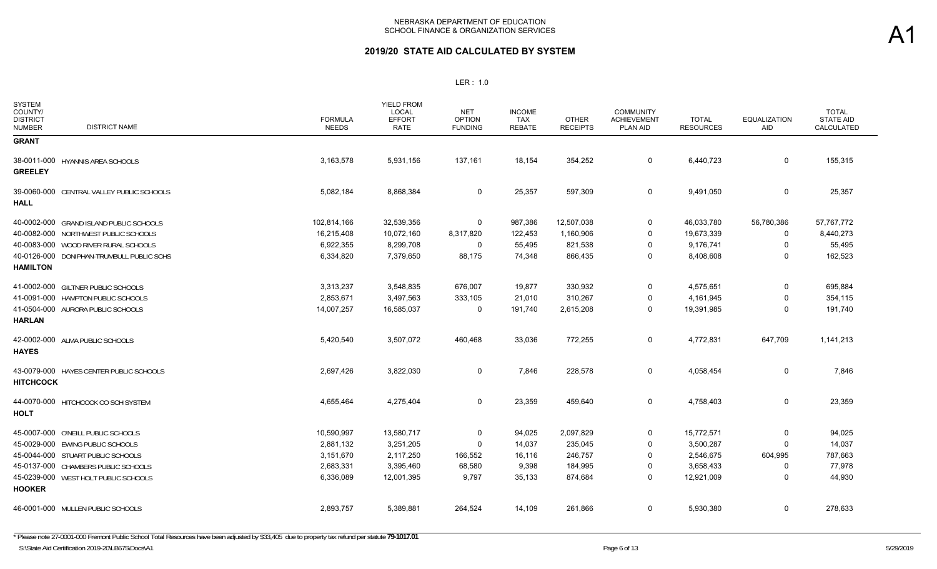| <b>SYSTEM</b><br>COUNTY/<br><b>DISTRICT</b><br><b>DISTRICT NAME</b><br><b>NUMBER</b> | <b>FORMULA</b><br><b>NEEDS</b> | <b>YIELD FROM</b><br>LOCAL<br><b>EFFORT</b><br><b>RATE</b> | <b>NET</b><br><b>OPTION</b><br><b>FUNDING</b> | <b>INCOME</b><br><b>TAX</b><br><b>REBATE</b> | <b>OTHER</b><br><b>RECEIPTS</b> | <b>COMMUNITY</b><br><b>ACHIEVEMENT</b><br><b>PLAN AID</b> | <b>TOTAL</b><br><b>RESOURCES</b> | EQUALIZATION<br>AID | <b>TOTAL</b><br><b>STATE AID</b><br>CALCULATED |
|--------------------------------------------------------------------------------------|--------------------------------|------------------------------------------------------------|-----------------------------------------------|----------------------------------------------|---------------------------------|-----------------------------------------------------------|----------------------------------|---------------------|------------------------------------------------|
| <b>GRANT</b>                                                                         |                                |                                                            |                                               |                                              |                                 |                                                           |                                  |                     |                                                |
| 38-0011-000 HYANNIS AREA SCHOOLS<br><b>GREELEY</b>                                   | 3,163,578                      | 5,931,156                                                  | 137,161                                       | 18,154                                       | 354,252                         | 0                                                         | 6,440,723                        | 0                   | 155,315                                        |
| 39-0060-000 CENTRAL VALLEY PUBLIC SCHOOLS<br><b>HALL</b>                             | 5,082,184                      | 8,868,384                                                  | 0                                             | 25,357                                       | 597,309                         | 0                                                         | 9,491,050                        | 0                   | 25,357                                         |
| 40-0002-000 GRAND ISLAND PUBLIC SCHOOLS                                              | 102,814,166                    | 32,539,356                                                 | 0                                             | 987,386                                      | 12,507,038                      | 0                                                         | 46,033,780                       | 56,780,386          | 57,767,772                                     |
| 40-0082-000 NORTHWEST PUBLIC SCHOOLS                                                 | 16,215,408                     | 10,072,160                                                 | 8,317,820                                     | 122,453                                      | 1,160,906                       | $\Omega$                                                  | 19,673,339                       | $\mathbf 0$         | 8,440,273                                      |
| 40-0083-000 WOOD RIVER RURAL SCHOOLS                                                 | 6,922,355                      | 8,299,708                                                  | 0                                             | 55,495                                       | 821,538                         | $\Omega$                                                  | 9,176,741                        | $\Omega$            | 55,495                                         |
| 40-0126-000 DONIPHAN-TRUMBULL PUBLIC SCHS<br><b>HAMILTON</b>                         | 6,334,820                      | 7,379,650                                                  | 88,175                                        | 74,348                                       | 866,435                         | 0                                                         | 8,408,608                        | $\Omega$            | 162,523                                        |
| 41-0002-000 GILTNER PUBLIC SCHOOLS                                                   | 3,313,237                      | 3,548,835                                                  | 676,007                                       | 19,877                                       | 330,932                         | $\mathbf 0$                                               | 4,575,651                        | $\Omega$            | 695,884                                        |
| 41-0091-000 HAMPTON PUBLIC SCHOOLS                                                   | 2,853,671                      | 3,497,563                                                  | 333,105                                       | 21,010                                       | 310,267                         | $\Omega$                                                  | 4,161,945                        | $\Omega$            | 354,115                                        |
| 41-0504-000 AURORA PUBLIC SCHOOLS<br><b>HARLAN</b>                                   | 14,007,257                     | 16,585,037                                                 | 0                                             | 191,740                                      | 2,615,208                       | $\mathbf 0$                                               | 19,391,985                       | $\mathbf 0$         | 191,740                                        |
| 42-0002-000 ALMA PUBLIC SCHOOLS<br><b>HAYES</b>                                      | 5,420,540                      | 3,507,072                                                  | 460,468                                       | 33,036                                       | 772,255                         | 0                                                         | 4,772,831                        | 647,709             | 1,141,213                                      |
| 43-0079-000 HAYES CENTER PUBLIC SCHOOLS<br><b>HITCHCOCK</b>                          | 2,697,426                      | 3,822,030                                                  | 0                                             | 7,846                                        | 228,578                         | 0                                                         | 4,058,454                        | 0                   | 7,846                                          |
| 44-0070-000 HITCHCOCK CO SCH SYSTEM<br><b>HOLT</b>                                   | 4,655,464                      | 4,275,404                                                  | 0                                             | 23,359                                       | 459,640                         | 0                                                         | 4,758,403                        | 0                   | 23,359                                         |
| 45-0007-000 O'NEILL PUBLIC SCHOOLS                                                   | 10,590,997                     | 13,580,717                                                 | 0                                             | 94,025                                       | 2,097,829                       | 0                                                         | 15,772,571                       | $\Omega$            | 94,025                                         |
| 45-0029-000 EWING PUBLIC SCHOOLS                                                     | 2,881,132                      | 3,251,205                                                  | 0                                             | 14,037                                       | 235,045                         | $\Omega$                                                  | 3,500,287                        | $\Omega$            | 14,037                                         |
| 45-0044-000 STUART PUBLIC SCHOOLS                                                    | 3,151,670                      | 2,117,250                                                  | 166,552                                       | 16,116                                       | 246,757                         | $\Omega$                                                  | 2,546,675                        | 604,995             | 787,663                                        |
| 45-0137-000 CHAMBERS PUBLIC SCHOOLS                                                  | 2,683,331                      | 3,395,460                                                  | 68,580                                        | 9,398                                        | 184,995                         | $\Omega$                                                  | 3,658,433                        | $\Omega$            | 77,978                                         |
| 45-0239-000 WEST HOLT PUBLIC SCHOOLS<br><b>HOOKER</b>                                | 6,336,089                      | 12,001,395                                                 | 9,797                                         | 35,133                                       | 874,684                         | $\Omega$                                                  | 12,921,009                       | $\Omega$            | 44,930                                         |
| 46-0001-000 MULLEN PUBLIC SCHOOLS                                                    | 2,893,757                      | 5,389,881                                                  | 264,524                                       | 14,109                                       | 261,866                         | 0                                                         | 5,930,380                        | 0                   | 278,633                                        |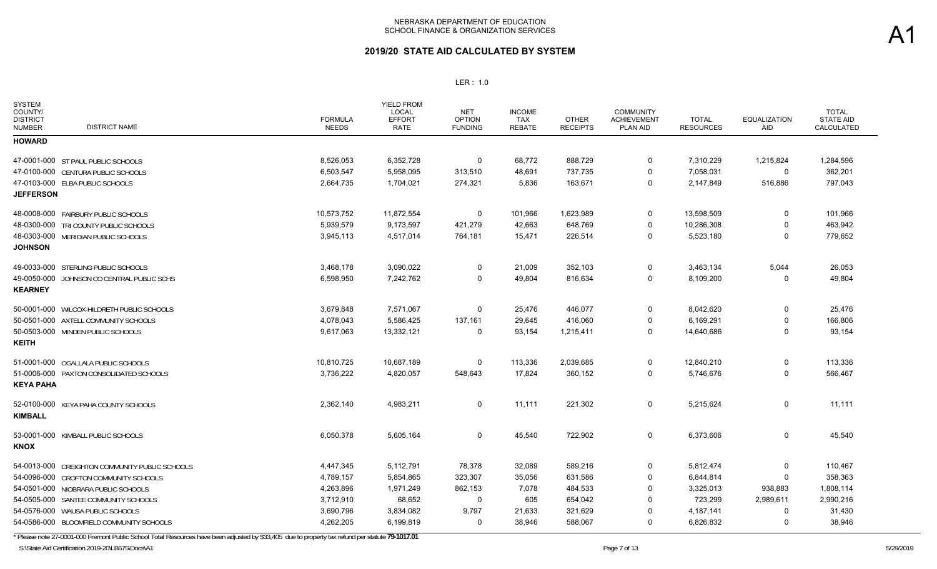## **2019/20 STATE AID CALCULATED BY SYSTEM**

#### LER : 1.0

| <b>SYSTEM</b><br>COUNTY/<br><b>DISTRICT</b><br><b>NUMBER</b> | <b>DISTRICT NAME</b>                           | <b>FORMULA</b><br><b>NEEDS</b> | <b>YIELD FROM</b><br><b>LOCAL</b><br><b>EFFORT</b><br><b>RATE</b> | <b>NET</b><br><b>OPTION</b><br><b>FUNDING</b> | <b>INCOME</b><br><b>TAX</b><br><b>REBATE</b> | <b>OTHER</b><br><b>RECEIPTS</b> | <b>COMMUNITY</b><br><b>ACHIEVEMENT</b><br>PLAN AID | <b>TOTAL</b><br><b>RESOURCES</b> | <b>EQUALIZATION</b><br>AID | <b>TOTAL</b><br><b>STATE AID</b><br>CALCULATED |
|--------------------------------------------------------------|------------------------------------------------|--------------------------------|-------------------------------------------------------------------|-----------------------------------------------|----------------------------------------------|---------------------------------|----------------------------------------------------|----------------------------------|----------------------------|------------------------------------------------|
| <b>HOWARD</b>                                                |                                                |                                |                                                                   |                                               |                                              |                                 |                                                    |                                  |                            |                                                |
|                                                              | 47-0001-000 ST PAUL PUBLIC SCHOOLS             | 8.526.053                      | 6,352,728                                                         | $\mathbf 0$                                   | 68,772                                       | 888,729                         | $\mathbf 0$                                        | 7,310,229                        | 1,215,824                  | 1,284,596                                      |
|                                                              | 47-0100-000 CENTURA PUBLIC SCHOOLS             | 6,503,547                      | 5,958,095                                                         | 313,510                                       | 48,691                                       | 737,735                         | $\mathbf 0$                                        | 7,058,031                        | 0                          | 362,201                                        |
|                                                              | 47-0103-000 ELBA PUBLIC SCHOOLS                | 2,664,735                      | 1,704,021                                                         | 274,321                                       | 5,836                                        | 163,671                         | $\mathbf 0$                                        | 2,147,849                        | 516,886                    | 797,043                                        |
| <b>JEFFERSON</b>                                             |                                                |                                |                                                                   |                                               |                                              |                                 |                                                    |                                  |                            |                                                |
|                                                              | 48-0008-000 FAIRBURY PUBLIC SCHOOLS            | 10,573,752                     | 11,872,554                                                        | $\mathbf 0$                                   | 101,966                                      | 1,623,989                       | 0                                                  | 13,598,509                       | 0                          | 101,966                                        |
|                                                              | 48-0300-000 TRI COUNTY PUBLIC SCHOOLS          | 5,939,579                      | 9,173,597                                                         | 421,279                                       | 42,663                                       | 648,769                         | $\mathbf 0$                                        | 10,286,308                       | $\Omega$                   | 463,942                                        |
| <b>JOHNSON</b>                                               | 48-0303-000 MERIDIAN PUBLIC SCHOOLS            | 3,945,113                      | 4,517,014                                                         | 764,181                                       | 15,471                                       | 226,514                         | $\mathbf 0$                                        | 5,523,180                        | $\Omega$                   | 779,652                                        |
|                                                              | 49-0033-000 STERLING PUBLIC SCHOOLS            | 3,468,178                      | 3,090,022                                                         | $\mathbf 0$                                   | 21,009                                       | 352,103                         | $\mathbf 0$                                        | 3,463,134                        | 5,044                      | 26,053                                         |
|                                                              | 49-0050-000 JOHNSON CO CENTRAL PUBLIC SCHS     | 6,598,950                      | 7,242,762                                                         | $\Omega$                                      | 49,804                                       | 816,634                         | $\mathbf 0$                                        | 8,109,200                        | 0                          | 49,804                                         |
| <b>KEARNEY</b>                                               |                                                |                                |                                                                   |                                               |                                              |                                 |                                                    |                                  |                            |                                                |
|                                                              | 50-0001-000 WILCOX-HILDRETH PUBLIC SCHOOLS     | 3,679,848                      | 7,571,067                                                         | $\Omega$                                      | 25,476                                       | 446,077                         | 0                                                  | 8,042,620                        | $\Omega$                   | 25,476                                         |
|                                                              | 50-0501-000 AXTELL COMMUNITY SCHOOLS           | 4,078,043                      | 5,586,425                                                         | 137,161                                       | 29,645                                       | 416,060                         | 0                                                  | 6,169,291                        | 0                          | 166,806                                        |
|                                                              | 50-0503-000 MINDEN PUBLIC SCHOOLS              | 9,617,063                      | 13,332,121                                                        | $\mathbf 0$                                   | 93,154                                       | 1,215,411                       | $\mathbf 0$                                        | 14,640,686                       | $\mathbf 0$                | 93,154                                         |
| <b>KEITH</b>                                                 |                                                |                                |                                                                   |                                               |                                              |                                 |                                                    |                                  |                            |                                                |
|                                                              | 51-0001-000 OGALLALA PUBLIC SCHOOLS            | 10,810,725                     | 10,687,189                                                        | 0                                             | 113,336                                      | 2,039,685                       | $\overline{0}$                                     | 12,840,210                       | 0                          | 113,336                                        |
|                                                              | 51-0006-000 PAXTON CONSOLIDATED SCHOOLS        | 3,736,222                      | 4,820,057                                                         | 548,643                                       | 17,824                                       | 360,152                         | $\overline{0}$                                     | 5,746,676                        | $\Omega$                   | 566,467                                        |
| <b>KEYA PAHA</b>                                             |                                                |                                |                                                                   |                                               |                                              |                                 |                                                    |                                  |                            |                                                |
|                                                              | 52-0100-000 KEYA PAHA COUNTY SCHOOLS           | 2,362,140                      | 4,983,211                                                         | 0                                             | 11,111                                       | 221,302                         | $\mathbf 0$                                        | 5,215,624                        | $\mathbf 0$                | 11,111                                         |
| <b>KIMBALL</b>                                               |                                                |                                |                                                                   |                                               |                                              |                                 |                                                    |                                  |                            |                                                |
|                                                              | 53-0001-000 KIMBALL PUBLIC SCHOOLS             | 6,050,378                      | 5,605,164                                                         | 0                                             | 45,540                                       | 722,902                         | $\mathbf 0$                                        | 6,373,606                        | $\Omega$                   | 45,540                                         |
| <b>KNOX</b>                                                  |                                                |                                |                                                                   |                                               |                                              |                                 |                                                    |                                  |                            |                                                |
|                                                              | 54-0013-000 CREIGHTON COMMUNITY PUBLIC SCHOOLS | 4,447,345                      | 5,112,791                                                         | 78,378                                        | 32,089                                       | 589,216                         | 0                                                  | 5,812,474                        | 0                          | 110,467                                        |
|                                                              | 54-0096-000 CROFTON COMMUNITY SCHOOLS          | 4,789,157                      | 5,854,865                                                         | 323,307                                       | 35,056                                       | 631,586                         | $\mathbf 0$                                        | 6,844,814                        | 0                          | 358,363                                        |
|                                                              | 54-0501-000 NIOBRARA PUBLIC SCHOOLS            | 4,263,896                      | 1,971,249                                                         | 862,153                                       | 7,078                                        | 484,533                         | $\mathbf 0$                                        | 3,325,013                        | 938,883                    | 1,808,114                                      |
|                                                              | 54-0505-000 SANTEE COMMUNITY SCHOOLS           | 3,712,910                      | 68,652                                                            | $\mathbf 0$                                   | 605                                          | 654,042                         | $\mathbf 0$                                        | 723,299                          | 2,989,611                  | 2,990,216                                      |
|                                                              | 54-0576-000 WAUSA PUBLIC SCHOOLS               | 3,690,796                      | 3,834,082                                                         | 9,797                                         | 21,633                                       | 321,629                         | $\mathbf 0$                                        | 4, 187, 141                      | 0                          | 31,430                                         |
|                                                              | 54-0586-000 BLOOMFIELD COMMUNITY SCHOOLS       | 4,262,205                      | 6,199,819                                                         | 0                                             | 38,946                                       | 588,067                         | $\mathbf 0$                                        | 6,826,832                        | 0                          | 38,946                                         |

\* Please note 27-0001-000 Fremont Public School Total Resources have been adjusted by \$33,405 due to property tax refund per statute **79-1017.01**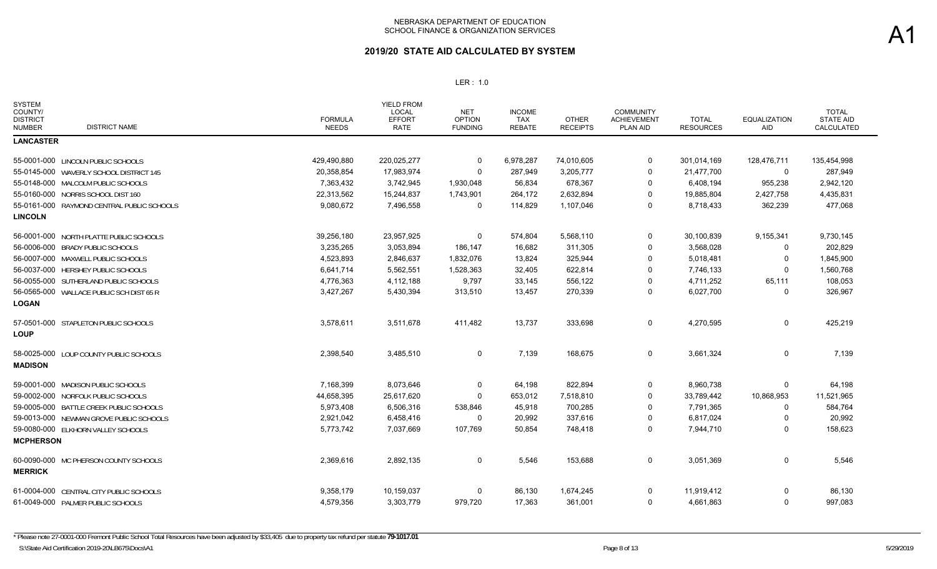| <b>SYSTEM</b><br>COUNTY/<br><b>DISTRICT</b><br><b>DISTRICT NAME</b><br><b>NUMBER</b> | <b>FORMULA</b><br><b>NEEDS</b> | <b>YIELD FROM</b><br><b>LOCAL</b><br><b>EFFORT</b><br><b>RATE</b> | <b>NET</b><br><b>OPTION</b><br><b>FUNDING</b> | <b>INCOME</b><br>TAX<br><b>REBATE</b> | <b>OTHER</b><br><b>RECEIPTS</b> | <b>COMMUNITY</b><br><b>ACHIEVEMENT</b><br>PLAN AID | <b>TOTAL</b><br><b>RESOURCES</b> | <b>EQUALIZATION</b><br>AID | <b>TOTAL</b><br><b>STATE AID</b><br>CALCULATED |
|--------------------------------------------------------------------------------------|--------------------------------|-------------------------------------------------------------------|-----------------------------------------------|---------------------------------------|---------------------------------|----------------------------------------------------|----------------------------------|----------------------------|------------------------------------------------|
| <b>LANCASTER</b>                                                                     |                                |                                                                   |                                               |                                       |                                 |                                                    |                                  |                            |                                                |
| 55-0001-000 LINCOLN PUBLIC SCHOOLS                                                   | 429,490,880                    | 220,025,277                                                       | $\mathbf 0$                                   | 6,978,287                             | 74,010,605                      | 0                                                  | 301,014,169                      | 128,476,711                | 135,454,998                                    |
| 55-0145-000 WAVERLY SCHOOL DISTRICT 145                                              | 20,358,854                     | 17,983,974                                                        | $\Omega$                                      | 287,949                               | 3,205,777                       | 0                                                  | 21,477,700                       | 0                          | 287,949                                        |
| 55-0148-000 MALCOLM PUBLIC SCHOOLS                                                   | 7,363,432                      | 3,742,945                                                         | 1,930,048                                     | 56,834                                | 678,367                         | 0                                                  | 6,408,194                        | 955,238                    | 2,942,120                                      |
| 55-0160-000 NORRIS SCHOOL DIST 160                                                   | 22,313,562                     | 15,244,837                                                        | 1,743,901                                     | 264,172                               | 2,632,894                       | 0                                                  | 19,885,804                       | 2,427,758                  | 4,435,831                                      |
| 55-0161-000 RAYMOND CENTRAL PUBLIC SCHOOLS                                           | 9,080,672                      | 7,496,558                                                         | $\Omega$                                      | 114,829                               | 1,107,046                       | 0                                                  | 8,718,433                        | 362,239                    | 477,068                                        |
| <b>LINCOLN</b>                                                                       |                                |                                                                   |                                               |                                       |                                 |                                                    |                                  |                            |                                                |
| 56-0001-000 NORTH PLATTE PUBLIC SCHOOLS                                              | 39,256,180                     | 23,957,925                                                        | 0                                             | 574,804                               | 5,568,110                       | 0                                                  | 30,100,839                       | 9,155,341                  | 9,730,145                                      |
| 56-0006-000 BRADY PUBLIC SCHOOLS                                                     | 3,235,265                      | 3,053,894                                                         | 186,147                                       | 16,682                                | 311,305                         | 0                                                  | 3,568,028                        | $\Omega$                   | 202,829                                        |
| 56-0007-000 MAXWELL PUBLIC SCHOOLS                                                   | 4,523,893                      | 2,846,637                                                         | 1,832,076                                     | 13,824                                | 325,944                         | $\Omega$                                           | 5,018,481                        | $\Omega$                   | 1,845,900                                      |
| 56-0037-000 HERSHEY PUBLIC SCHOOLS                                                   | 6,641,714                      | 5,562,551                                                         | 1,528,363                                     | 32,405                                | 622,814                         | $\mathbf 0$                                        | 7,746,133                        | $\Omega$                   | 1,560,768                                      |
| 56-0055-000 SUTHERLAND PUBLIC SCHOOLS                                                | 4,776,363                      | 4,112,188                                                         | 9,797                                         | 33,145                                | 556,122                         | $\Omega$                                           | 4,711,252                        | 65,111                     | 108,053                                        |
| 56-0565-000 WALLACE PUBLIC SCH DIST 65 R                                             | 3,427,267                      | 5,430,394                                                         | 313,510                                       | 13,457                                | 270,339                         | 0                                                  | 6,027,700                        | 0                          | 326,967                                        |
| <b>LOGAN</b>                                                                         |                                |                                                                   |                                               |                                       |                                 |                                                    |                                  |                            |                                                |
| 57-0501-000 STAPLETON PUBLIC SCHOOLS<br><b>LOUP</b>                                  | 3,578,611                      | 3,511,678                                                         | 411,482                                       | 13,737                                | 333,698                         | $\mathbf 0$                                        | 4,270,595                        | 0                          | 425,219                                        |
| 58-0025-000 LOUP COUNTY PUBLIC SCHOOLS<br><b>MADISON</b>                             | 2,398,540                      | 3,485,510                                                         | $\Omega$                                      | 7,139                                 | 168,675                         | 0                                                  | 3,661,324                        | $\Omega$                   | 7,139                                          |
| 59-0001-000 MADISON PUBLIC SCHOOLS                                                   | 7,168,399                      | 8,073,646                                                         | 0                                             | 64,198                                | 822,894                         | 0                                                  | 8,960,738                        | $\Omega$                   | 64,198                                         |
| 59-0002-000 NORFOLK PUBLIC SCHOOLS                                                   | 44,658,395                     | 25,617,620                                                        | $\mathbf 0$                                   | 653,012                               | 7,518,810                       | $\mathbf 0$                                        | 33,789,442                       | 10,868,953                 | 11,521,965                                     |
| 59-0005-000 BATTLE CREEK PUBLIC SCHOOLS                                              | 5,973,408                      | 6,506,316                                                         | 538,846                                       | 45,918                                | 700,285                         | 0                                                  | 7,791,365                        | $\Omega$                   | 584,764                                        |
| 59-0013-000 NEWMAN GROVE PUBLIC SCHOOLS                                              | 2,921,042                      | 6,458,416                                                         | 0                                             | 20,992                                | 337,616                         | 0                                                  | 6,817,024                        | 0                          | 20,992                                         |
| 59-0080-000 ELKHORN VALLEY SCHOOLS                                                   | 5,773,742                      | 7,037,669                                                         | 107,769                                       | 50,854                                | 748,418                         | 0                                                  | 7,944,710                        | $\Omega$                   | 158,623                                        |
| <b>MCPHERSON</b>                                                                     |                                |                                                                   |                                               |                                       |                                 |                                                    |                                  |                            |                                                |
| 60-0090-000 MC PHERSON COUNTY SCHOOLS<br><b>MERRICK</b>                              | 2,369,616                      | 2,892,135                                                         | 0                                             | 5,546                                 | 153,688                         | $\mathbf 0$                                        | 3,051,369                        | $\Omega$                   | 5,546                                          |
| 61-0004-000 CENTRAL CITY PUBLIC SCHOOLS                                              | 9,358,179                      | 10,159,037                                                        | $\Omega$                                      | 86,130                                | 1,674,245                       | $\mathbf 0$                                        | 11,919,412                       | $\Omega$                   | 86,130                                         |
| 61-0049-000 PALMER PUBLIC SCHOOLS                                                    | 4,579,356                      | 3,303,779                                                         | 979,720                                       | 17,363                                | 361,001                         | $\Omega$                                           | 4,661,863                        | $\Omega$                   | 997,083                                        |
|                                                                                      |                                |                                                                   |                                               |                                       |                                 |                                                    |                                  |                            |                                                |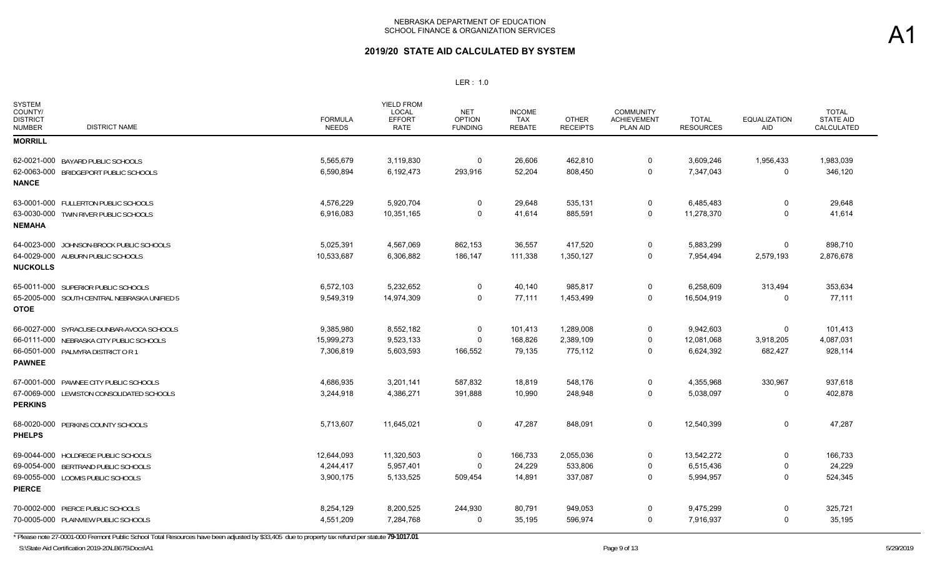## **2019/20 STATE AID CALCULATED BY SYSTEM**

#### LER : 1.0

| <b>SYSTEM</b><br>COUNTY/<br><b>DISTRICT</b><br><b>DISTRICT NAME</b><br><b>NUMBER</b> | <b>FORMULA</b><br><b>NEEDS</b> | <b>YIELD FROM</b><br><b>LOCAL</b><br><b>EFFORT</b><br><b>RATE</b> | <b>NET</b><br><b>OPTION</b><br><b>FUNDING</b> | <b>INCOME</b><br><b>TAX</b><br><b>REBATE</b> | <b>OTHER</b><br><b>RECEIPTS</b> | <b>COMMUNITY</b><br>ACHIEVEMENT<br>PLAN AID | <b>TOTAL</b><br><b>RESOURCES</b> | <b>EQUALIZATION</b><br><b>AID</b> | <b>TOTAL</b><br><b>STATE AID</b><br>CALCULATED |
|--------------------------------------------------------------------------------------|--------------------------------|-------------------------------------------------------------------|-----------------------------------------------|----------------------------------------------|---------------------------------|---------------------------------------------|----------------------------------|-----------------------------------|------------------------------------------------|
| <b>MORRILL</b>                                                                       |                                |                                                                   |                                               |                                              |                                 |                                             |                                  |                                   |                                                |
| 62-0021-000 BAYARD PUBLIC SCHOOLS                                                    | 5,565,679                      | 3,119,830                                                         | 0                                             | 26,606                                       | 462,810                         | $\mathbf 0$                                 | 3,609,246                        | 1,956,433                         | 1,983,039                                      |
| 62-0063-000 BRIDGEPORT PUBLIC SCHOOLS                                                | 6,590,894                      | 6,192,473                                                         | 293,916                                       | 52,204                                       | 808,450                         | $\mathbf 0$                                 | 7,347,043                        | $\mathbf 0$                       | 346,120                                        |
| <b>NANCE</b>                                                                         |                                |                                                                   |                                               |                                              |                                 |                                             |                                  |                                   |                                                |
| 63-0001-000 FULLERTON PUBLIC SCHOOLS                                                 | 4,576,229                      | 5,920,704                                                         | 0                                             | 29,648                                       | 535,131                         | 0                                           | 6,485,483                        | 0                                 | 29,648                                         |
| 63-0030-000 TWIN RIVER PUBLIC SCHOOLS<br><b>NEMAHA</b>                               | 6,916,083                      | 10,351,165                                                        | $\Omega$                                      | 41,614                                       | 885,591                         | $\overline{0}$                              | 11,278,370                       | $\Omega$                          | 41,614                                         |
| 64-0023-000 JOHNSON-BROCK PUBLIC SCHOOLS                                             | 5,025,391                      | 4,567,069                                                         | 862,153                                       | 36,557                                       | 417,520                         | $\mathbf 0$                                 | 5,883,299                        | 0                                 | 898,710                                        |
| 64-0029-000 AUBURN PUBLIC SCHOOLS                                                    | 10,533,687                     | 6,306,882                                                         | 186,147                                       | 111,338                                      | 1,350,127                       | 0                                           | 7,954,494                        | 2,579,193                         | 2,876,678                                      |
| <b>NUCKOLLS</b>                                                                      |                                |                                                                   |                                               |                                              |                                 |                                             |                                  |                                   |                                                |
| 65-0011-000 SUPERIOR PUBLIC SCHOOLS                                                  | 6,572,103                      | 5,232,652                                                         | $\Omega$                                      | 40,140                                       | 985,817                         | $\mathbf 0$                                 | 6,258,609                        | 313,494                           | 353,634                                        |
| 65-2005-000 SOUTH CENTRAL NEBRASKA UNIFIED 5                                         | 9,549,319                      | 14,974,309                                                        | $\mathbf 0$                                   | 77,111                                       | 1,453,499                       | $\mathbf 0$                                 | 16,504,919                       | $\Omega$                          | 77,111                                         |
| <b>OTOE</b>                                                                          |                                |                                                                   |                                               |                                              |                                 |                                             |                                  |                                   |                                                |
| 66-0027-000 SYRACUSE-DUNBAR-AVOCA SCHOOLS                                            | 9,385,980                      | 8,552,182                                                         | 0                                             | 101,413                                      | 1,289,008                       | 0                                           | 9,942,603                        | $\Omega$                          | 101,413                                        |
| 66-0111-000 NEBRASKA CITY PUBLIC SCHOOLS                                             | 15,999,273                     | 9,523,133                                                         | $\Omega$                                      | 168,826                                      | 2,389,109                       | $\mathbf 0$                                 | 12,081,068                       | 3,918,205                         | 4,087,031                                      |
| 66-0501-000 PALMYRA DISTRICT OR 1                                                    | 7,306,819                      | 5,603,593                                                         | 166,552                                       | 79,135                                       | 775,112                         | $\mathbf 0$                                 | 6,624,392                        | 682,427                           | 928,114                                        |
| <b>PAWNEE</b>                                                                        |                                |                                                                   |                                               |                                              |                                 |                                             |                                  |                                   |                                                |
| 67-0001-000 PAWNEE CITY PUBLIC SCHOOLS                                               | 4,686,935                      | 3,201,141                                                         | 587,832                                       | 18,819                                       | 548,176                         | $\mathbf 0$                                 | 4,355,968                        | 330,967                           | 937,618                                        |
| 67-0069-000 LEWISTON CONSOLIDATED SCHOOLS<br><b>PERKINS</b>                          | 3,244,918                      | 4,386,271                                                         | 391,888                                       | 10,990                                       | 248,948                         | $\mathbf 0$                                 | 5,038,097                        | 0                                 | 402,878                                        |
| 68-0020-000 PERKINS COUNTY SCHOOLS<br><b>PHELPS</b>                                  | 5,713,607                      | 11,645,021                                                        | 0                                             | 47,287                                       | 848,091                         | $\mathbf 0$                                 | 12,540,399                       | 0                                 | 47,287                                         |
| 69-0044-000 HOLDREGE PUBLIC SCHOOLS                                                  | 12,644,093                     | 11,320,503                                                        | $\mathbf 0$                                   | 166,733                                      | 2,055,036                       | $\mathbf 0$                                 | 13,542,272                       | $\mathbf 0$                       | 166,733                                        |
| 69-0054-000 BERTRAND PUBLIC SCHOOLS                                                  | 4,244,417                      | 5,957,401                                                         | $\Omega$                                      | 24,229                                       | 533,806                         | $\mathbf 0$                                 | 6,515,436                        | $\mathbf 0$                       | 24,229                                         |
| 69-0055-000 LOOMIS PUBLIC SCHOOLS                                                    | 3,900,175                      | 5,133,525                                                         | 509,454                                       | 14,891                                       | 337,087                         | $\mathbf 0$                                 | 5,994,957                        | $\Omega$                          | 524,345                                        |
| <b>PIERCE</b>                                                                        |                                |                                                                   |                                               |                                              |                                 |                                             |                                  |                                   |                                                |
| 70-0002-000 PIERCE PUBLIC SCHOOLS                                                    | 8,254,129                      | 8,200,525                                                         | 244,930                                       | 80,791                                       | 949,053                         | 0                                           | 9,475,299                        | 0                                 | 325,721                                        |
| 70-0005-000 PLAINVIEW PUBLIC SCHOOLS                                                 | 4,551,209                      | 7,284,768                                                         | 0                                             | 35,195                                       | 596,974                         | 0                                           | 7,916,937                        | $\Omega$                          | 35,195                                         |

\* Please note 27-0001-000 Fremont Public School Total Resources have been adjusted by \$33,405 due to property tax refund per statute **79-1017.01**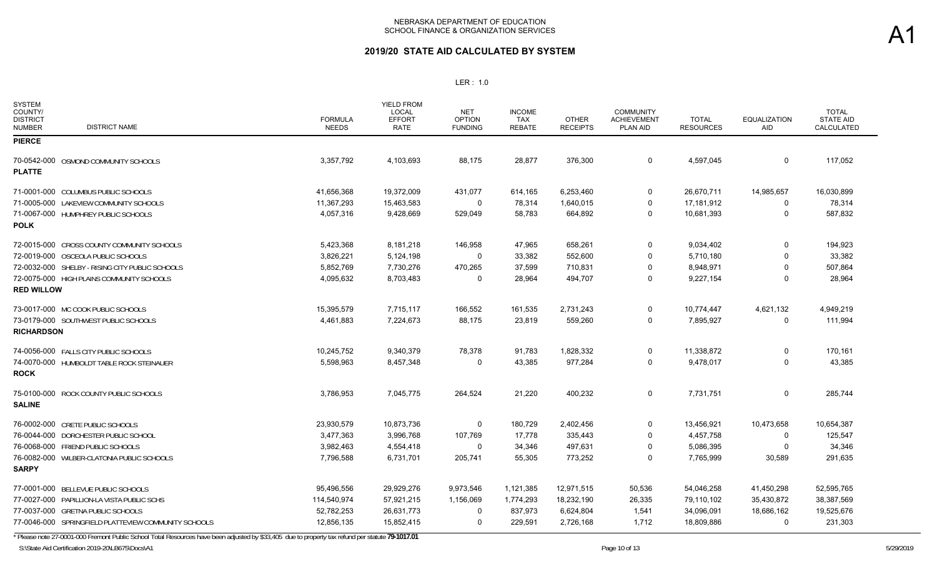### **2019/20 STATE AID CALCULATED BY SYSTEM**

#### LER : 1.0

| <b>SYSTEM</b><br>COUNTY/<br><b>DISTRICT</b><br><b>DISTRICT NAME</b><br><b>NUMBER</b> | <b>FORMULA</b><br><b>NEEDS</b> | <b>YIELD FROM</b><br><b>LOCAL</b><br><b>EFFORT</b><br><b>RATE</b> | <b>NET</b><br><b>OPTION</b><br><b>FUNDING</b> | <b>INCOME</b><br>TAX<br><b>REBATE</b> | <b>OTHER</b><br><b>RECEIPTS</b> | <b>COMMUNITY</b><br><b>ACHIEVEMENT</b><br><b>PLAN AID</b> | <b>TOTAL</b><br><b>RESOURCES</b> | <b>EQUALIZATION</b><br>AID | <b>TOTAL</b><br><b>STATE AID</b><br>CALCULATED |
|--------------------------------------------------------------------------------------|--------------------------------|-------------------------------------------------------------------|-----------------------------------------------|---------------------------------------|---------------------------------|-----------------------------------------------------------|----------------------------------|----------------------------|------------------------------------------------|
| <b>PIERCE</b>                                                                        |                                |                                                                   |                                               |                                       |                                 |                                                           |                                  |                            |                                                |
| 70-0542-000 OSMOND COMMUNITY SCHOOLS<br><b>PLATTE</b>                                | 3,357,792                      | 4,103,693                                                         | 88,175                                        | 28,877                                | 376,300                         | $\overline{0}$                                            | 4,597,045                        | $\Omega$                   | 117,052                                        |
| 71-0001-000 COLUMBUS PUBLIC SCHOOLS                                                  | 41,656,368                     | 19,372,009                                                        | 431,077                                       | 614,165                               | 6,253,460                       | 0                                                         | 26,670,711                       | 14,985,657                 | 16,030,899                                     |
| 71-0005-000 LAKEVIEW COMMUNITY SCHOOLS                                               | 11,367,293                     | 15,463,583                                                        | $\Omega$                                      | 78,314                                | 1,640,015                       | $\Omega$                                                  | 17,181,912                       | 0                          | 78,314                                         |
| 71-0067-000 HUMPHREY PUBLIC SCHOOLS<br><b>POLK</b>                                   | 4,057,316                      | 9,428,669                                                         | 529,049                                       | 58,783                                | 664,892                         | $\Omega$                                                  | 10,681,393                       | $\Omega$                   | 587,832                                        |
| 72-0015-000 CROSS COUNTY COMMUNITY SCHOOLS                                           | 5,423,368                      | 8,181,218                                                         | 146,958                                       | 47,965                                | 658,261                         | 0                                                         | 9,034,402                        | 0                          | 194,923                                        |
| 72-0019-000 OSCEOLA PUBLIC SCHOOLS                                                   | 3,826,221                      | 5,124,198                                                         | $\mathbf 0$                                   | 33,382                                | 552,600                         | $\Omega$                                                  | 5,710,180                        | $\Omega$                   | 33,382                                         |
| 72-0032-000 SHELBY - RISING CITY PUBLIC SCHOOLS                                      | 5,852,769                      | 7,730,276                                                         | 470,265                                       | 37,599                                | 710,831                         | $\mathbf 0$                                               | 8,948,971                        | $\Omega$                   | 507,864                                        |
| 72-0075-000 HIGH PLAINS COMMUNITY SCHOOLS<br><b>RED WILLOW</b>                       | 4,095,632                      | 8,703,483                                                         | $\Omega$                                      | 28,964                                | 494,707                         | $\Omega$                                                  | 9,227,154                        | $\Omega$                   | 28,964                                         |
| 73-0017-000 MC COOK PUBLIC SCHOOLS                                                   | 15,395,579                     | 7,715,117                                                         | 166,552                                       | 161,535                               | 2,731,243                       | $\mathbf 0$                                               | 10,774,447                       | 4,621,132                  | 4,949,219                                      |
| 73-0179-000 SOUTHWEST PUBLIC SCHOOLS<br><b>RICHARDSON</b>                            | 4,461,883                      | 7,224,673                                                         | 88,175                                        | 23,819                                | 559,260                         | 0                                                         | 7,895,927                        | 0                          | 111,994                                        |
| 74-0056-000 FALLS CITY PUBLIC SCHOOLS                                                | 10,245,752                     | 9,340,379                                                         | 78,378                                        | 91,783                                | 1,828,332                       | $\mathbf 0$                                               | 11,338,872                       | 0                          | 170,161                                        |
| 74-0070-000 HUMBOLDT TABLE ROCK STEINAUER<br><b>ROCK</b>                             | 5,598,963                      | 8,457,348                                                         | $\Omega$                                      | 43,385                                | 977,284                         | 0                                                         | 9,478,017                        | $\Omega$                   | 43,385                                         |
| 75-0100-000 ROCK COUNTY PUBLIC SCHOOLS<br><b>SALINE</b>                              | 3,786,953                      | 7,045,775                                                         | 264,524                                       | 21,220                                | 400,232                         | $\mathbf 0$                                               | 7,731,751                        | $\Omega$                   | 285,744                                        |
| 76-0002-000 CRETE PUBLIC SCHOOLS                                                     | 23,930,579                     | 10,873,736                                                        | 0                                             | 180,729                               | 2,402,456                       | $\mathbf 0$                                               | 13,456,921                       | 10,473,658                 | 10,654,387                                     |
| 76-0044-000 DORCHESTER PUBLIC SCHOOL                                                 | 3,477,363                      | 3,996,768                                                         | 107,769                                       | 17,778                                | 335,443                         | $\mathbf 0$                                               | 4,457,758                        | 0                          | 125,547                                        |
| 76-0068-000 FRIEND PUBLIC SCHOOLS                                                    | 3,982,463                      | 4,554,418                                                         | 0                                             | 34,346                                | 497,631                         | $\mathbf 0$                                               | 5,086,395                        | $\Omega$                   | 34,346                                         |
| 76-0082-000 WILBER-CLATONIA PUBLIC SCHOOLS<br><b>SARPY</b>                           | 7,796,588                      | 6,731,701                                                         | 205,741                                       | 55,305                                | 773,252                         | $\mathbf 0$                                               | 7,765,999                        | 30,589                     | 291,635                                        |
| 77-0001-000 BELLEVUE PUBLIC SCHOOLS                                                  | 95,496,556                     | 29,929,276                                                        | 9,973,546                                     | 1,121,385                             | 12,971,515                      | 50,536                                                    | 54,046,258                       | 41,450,298                 | 52,595,765                                     |
| 77-0027-000 PAPILLION-LA VISTA PUBLIC SCHS                                           | 114,540,974                    | 57,921,215                                                        | 1,156,069                                     | 1,774,293                             | 18,232,190                      | 26,335                                                    | 79,110,102                       | 35,430,872                 | 38,387,569                                     |
| 77-0037-000 GRETNA PUBLIC SCHOOLS                                                    | 52,782,253                     | 26,631,773                                                        | $\Omega$                                      | 837,973                               | 6,624,804                       | 1,541                                                     | 34,096,091                       | 18,686,162                 | 19,525,676                                     |
| 77-0046-000 SPRINGFIELD PLATTEVIEW COMMUNITY SCHOOLS                                 | 12,856,135                     | 15,852,415                                                        | 0                                             | 229,591                               | 2,726,168                       | 1,712                                                     | 18,809,886                       | $\Omega$                   | 231,303                                        |

\* Please note 27-0001-000 Fremont Public School Total Resources have been adjusted by \$33,405 due to property tax refund per statute **79-1017.01**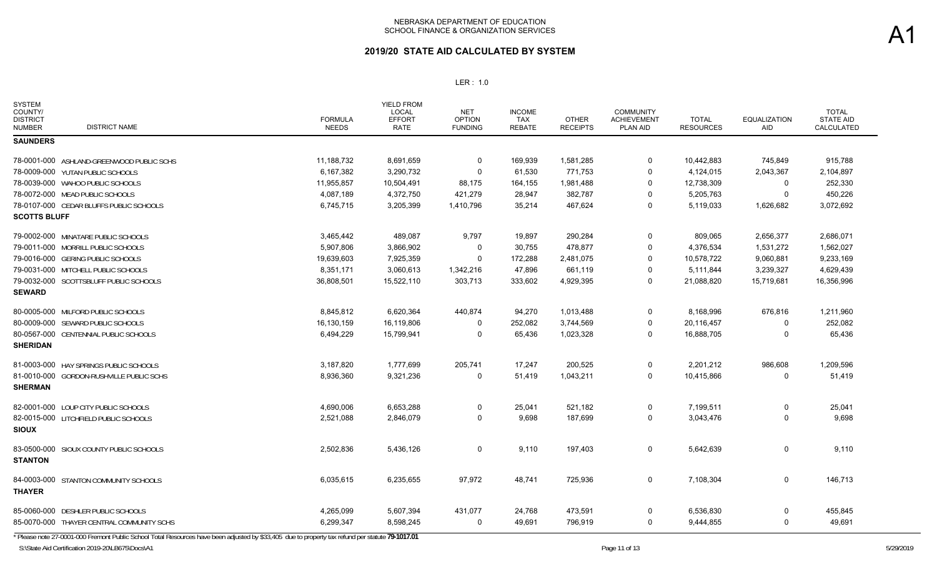| <b>SYSTEM</b><br>COUNTY/<br><b>DISTRICT</b><br><b>DISTRICT NAME</b><br><b>NUMBER</b> | <b>FORMULA</b><br><b>NEEDS</b> | <b>YIELD FROM</b><br>LOCAL<br><b>EFFORT</b><br><b>RATE</b> | <b>NET</b><br><b>OPTION</b><br><b>FUNDING</b> | <b>INCOME</b><br>TAX<br><b>REBATE</b> | <b>OTHER</b><br><b>RECEIPTS</b> | COMMUNITY<br><b>ACHIEVEMENT</b><br>PLAN AID | <b>TOTAL</b><br><b>RESOURCES</b> | <b>EQUALIZATION</b><br>AID | <b>TOTAL</b><br><b>STATE AID</b><br>CALCULATED |
|--------------------------------------------------------------------------------------|--------------------------------|------------------------------------------------------------|-----------------------------------------------|---------------------------------------|---------------------------------|---------------------------------------------|----------------------------------|----------------------------|------------------------------------------------|
| <b>SAUNDERS</b>                                                                      |                                |                                                            |                                               |                                       |                                 |                                             |                                  |                            |                                                |
| 78-0001-000 ASHLAND-GREENWOOD PUBLIC SCHS                                            | 11,188,732                     | 8,691,659                                                  | 0                                             | 169,939                               | 1,581,285                       | 0                                           | 10,442,883                       | 745,849                    | 915,788                                        |
| 78-0009-000 YUTAN PUBLIC SCHOOLS                                                     | 6,167,382                      | 3,290,732                                                  | $\Omega$                                      | 61,530                                | 771,753                         | 0                                           | 4,124,015                        | 2,043,367                  | 2,104,897                                      |
| 78-0039-000 WAHOO PUBLIC SCHOOLS                                                     | 11,955,857                     | 10,504,491                                                 | 88,175                                        | 164,155                               | 1,981,488                       | 0                                           | 12,738,309                       | 0                          | 252,330                                        |
| 78-0072-000 MEAD PUBLIC SCHOOLS                                                      | 4,087,189                      | 4,372,750                                                  | 421,279                                       | 28,947                                | 382,787                         | 0                                           | 5,205,763                        | 0                          | 450,226                                        |
| 78-0107-000 CEDAR BLUFFS PUBLIC SCHOOLS                                              | 6,745,715                      | 3,205,399                                                  | 1,410,796                                     | 35,214                                | 467,624                         | 0                                           | 5,119,033                        | 1,626,682                  | 3,072,692                                      |
| <b>SCOTTS BLUFF</b>                                                                  |                                |                                                            |                                               |                                       |                                 |                                             |                                  |                            |                                                |
| 79-0002-000 MINATARE PUBLIC SCHOOLS                                                  | 3,465,442                      | 489,087                                                    | 9,797                                         | 19,897                                | 290,284                         | 0                                           | 809,065                          | 2,656,377                  | 2,686,071                                      |
| 79-0011-000 MORRILL PUBLIC SCHOOLS                                                   | 5,907,806                      | 3,866,902                                                  | 0                                             | 30,755                                | 478,877                         | 0                                           | 4,376,534                        | 1,531,272                  | 1,562,027                                      |
| 79-0016-000 GERING PUBLIC SCHOOLS                                                    | 19,639,603                     | 7,925,359                                                  | 0                                             | 172,288                               | 2,481,075                       | 0                                           | 10,578,722                       | 9,060,881                  | 9,233,169                                      |
| 79-0031-000 MITCHELL PUBLIC SCHOOLS                                                  | 8.351.171                      | 3,060,613                                                  | 1,342,216                                     | 47,896                                | 661,119                         | 0                                           | 5,111,844                        | 3,239,327                  | 4,629,439                                      |
| 79-0032-000 SCOTTSBLUFF PUBLIC SCHOOLS                                               | 36,808,501                     | 15,522,110                                                 | 303,713                                       | 333,602                               | 4,929,395                       | 0                                           | 21,088,820                       | 15,719,681                 | 16,356,996                                     |
| <b>SEWARD</b>                                                                        |                                |                                                            |                                               |                                       |                                 |                                             |                                  |                            |                                                |
| 80-0005-000 MILFORD PUBLIC SCHOOLS                                                   | 8,845,812                      | 6,620,364                                                  | 440,874                                       | 94,270                                | 1,013,488                       | 0                                           | 8,168,996                        | 676,816                    | 1,211,960                                      |
| 80-0009-000 SEWARD PUBLIC SCHOOLS                                                    | 16,130,159                     | 16,119,806                                                 | 0                                             | 252,082                               | 3,744,569                       | 0                                           | 20,116,457                       | $\Omega$                   | 252,082                                        |
| 80-0567-000 CENTENNIAL PUBLIC SCHOOLS                                                | 6,494,229                      | 15,799,941                                                 | $\Omega$                                      | 65,436                                | 1,023,328                       | 0                                           | 16,888,705                       | $\mathbf{0}$               | 65,436                                         |
| <b>SHERIDAN</b>                                                                      |                                |                                                            |                                               |                                       |                                 |                                             |                                  |                            |                                                |
| 81-0003-000 HAY SPRINGS PUBLIC SCHOOLS                                               | 3,187,820                      | 1,777,699                                                  | 205,741                                       | 17,247                                | 200,525                         | 0                                           | 2,201,212                        | 986,608                    | 1,209,596                                      |
| 81-0010-000 GORDON-RUSHVILLE PUBLIC SCHS<br><b>SHERMAN</b>                           | 8,936,360                      | 9,321,236                                                  | 0                                             | 51,419                                | 1,043,211                       | 0                                           | 10,415,866                       | 0                          | 51,419                                         |
| 82-0001-000 LOUP CITY PUBLIC SCHOOLS                                                 | 4,690,006                      | 6,653,288                                                  | 0                                             | 25,041                                | 521,182                         | 0                                           | 7,199,511                        | 0                          | 25,041                                         |
| 82-0015-000 LITCHFIELD PUBLIC SCHOOLS                                                | 2,521,088                      | 2,846,079                                                  | $\Omega$                                      | 9,698                                 | 187,699                         | 0                                           | 3,043,476                        | 0                          | 9,698                                          |
| <b>SIOUX</b>                                                                         |                                |                                                            |                                               |                                       |                                 |                                             |                                  |                            |                                                |
| 83-0500-000 SIOUX COUNTY PUBLIC SCHOOLS                                              | 2,502,836                      | 5,436,126                                                  | 0                                             | 9,110                                 | 197,403                         | 0                                           | 5,642,639                        | 0                          | 9,110                                          |
| <b>STANTON</b>                                                                       |                                |                                                            |                                               |                                       |                                 |                                             |                                  |                            |                                                |
| 84-0003-000 STANTON COMMUNITY SCHOOLS<br><b>THAYER</b>                               | 6,035,615                      | 6,235,655                                                  | 97,972                                        | 48,741                                | 725,936                         | 0                                           | 7,108,304                        | 0                          | 146,713                                        |
| 85-0060-000 DESHLER PUBLIC SCHOOLS                                                   | 4,265,099                      | 5,607,394                                                  | 431,077                                       | 24,768                                | 473,591                         | 0                                           | 6,536,830                        | 0                          | 455,845                                        |
| 85-0070-000 THAYER CENTRAL COMMUNITY SCHS                                            | 6,299,347                      | 8,598,245                                                  | 0                                             | 49,691                                | 796,919                         | 0                                           | 9,444,855                        | 0                          | 49,691                                         |
|                                                                                      |                                |                                                            |                                               |                                       |                                 |                                             |                                  |                            |                                                |

\* Please note 27-0001-000 Fremont Public School Total Resources have been adjusted by \$33,405 due to property tax refund per statute **79-1017.01**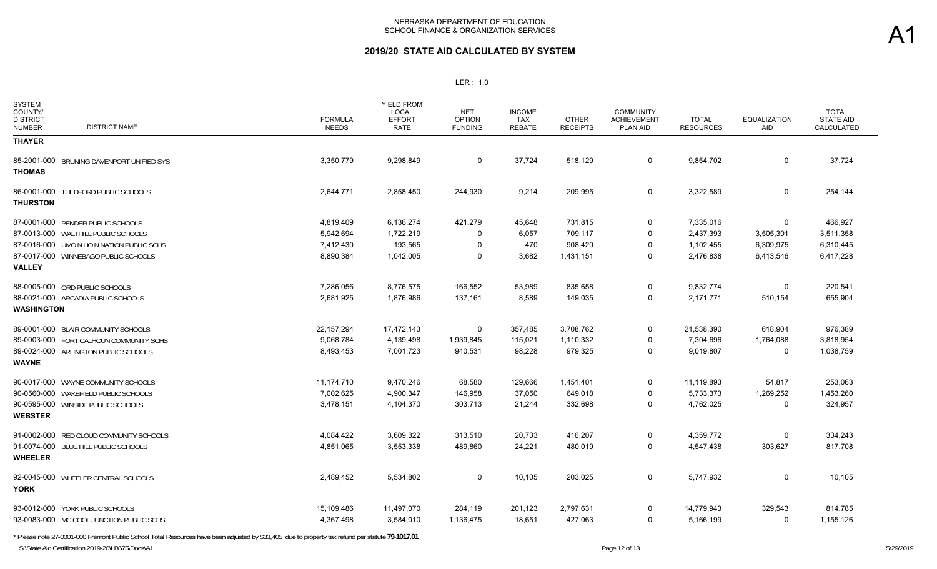| <b>SYSTEM</b><br>COUNTY/<br><b>DISTRICT</b><br><b>DISTRICT NAME</b><br><b>NUMBER</b> | <b>FORMULA</b><br><b>NEEDS</b> | <b>YIELD FROM</b><br>LOCAL<br><b>EFFORT</b><br><b>RATE</b> | <b>NET</b><br><b>OPTION</b><br><b>FUNDING</b> | <b>INCOME</b><br><b>TAX</b><br><b>REBATE</b> | <b>OTHER</b><br><b>RECEIPTS</b> | <b>COMMUNITY</b><br><b>ACHIEVEMENT</b><br><b>PLAN AID</b> | <b>TOTAL</b><br><b>RESOURCES</b> | <b>EQUALIZATION</b><br><b>AID</b> | <b>TOTAL</b><br><b>STATE AID</b><br>CALCULATED |
|--------------------------------------------------------------------------------------|--------------------------------|------------------------------------------------------------|-----------------------------------------------|----------------------------------------------|---------------------------------|-----------------------------------------------------------|----------------------------------|-----------------------------------|------------------------------------------------|
| <b>THAYER</b>                                                                        |                                |                                                            |                                               |                                              |                                 |                                                           |                                  |                                   |                                                |
| 85-2001-000 BRUNING-DAVENPORT UNIFIED SYS<br><b>THOMAS</b>                           | 3,350,779                      | 9,298,849                                                  | 0                                             | 37,724                                       | 518,129                         | $\mathbf 0$                                               | 9,854,702                        | 0                                 | 37,724                                         |
| 86-0001-000 THEDFORD PUBLIC SCHOOLS<br><b>THURSTON</b>                               | 2,644,771                      | 2,858,450                                                  | 244,930                                       | 9,214                                        | 209,995                         | $\mathbf 0$                                               | 3,322,589                        | 0                                 | 254,144                                        |
| 87-0001-000 PENDER PUBLIC SCHOOLS                                                    | 4,819,409                      | 6,136,274                                                  | 421,279                                       | 45,648                                       | 731,815                         | 0                                                         | 7,335,016                        | $\Omega$                          | 466,927                                        |
| 87-0013-000 WALTHILL PUBLIC SCHOOLS                                                  | 5,942,694                      | 1,722,219                                                  | $\Omega$                                      | 6,057                                        | 709,117                         | $\Omega$                                                  | 2,437,393                        | 3,505,301                         | 3,511,358                                      |
| 87-0016-000 UMO N HO N NATION PUBLIC SCHS                                            | 7,412,430                      | 193,565                                                    | 0                                             | 470                                          | 908,420                         | 0                                                         | 1,102,455                        | 6,309,975                         | 6,310,445                                      |
| 87-0017-000 WINNEBAGO PUBLIC SCHOOLS                                                 | 8,890,384                      | 1,042,005                                                  | $\Omega$                                      | 3,682                                        | 1,431,151                       | 0                                                         | 2,476,838                        | 6,413,546                         | 6,417,228                                      |
| <b>VALLEY</b>                                                                        |                                |                                                            |                                               |                                              |                                 |                                                           |                                  |                                   |                                                |
| 88-0005-000 ORD PUBLIC SCHOOLS                                                       | 7,286,056                      | 8,776,575                                                  | 166,552                                       | 53,989                                       | 835,658                         | 0                                                         | 9,832,774                        | $\Omega$                          | 220,541                                        |
| 88-0021-000 ARCADIA PUBLIC SCHOOLS                                                   | 2,681,925                      | 1,876,986                                                  | 137,161                                       | 8,589                                        | 149,035                         | $\Omega$                                                  | 2,171,771                        | 510,154                           | 655,904                                        |
| <b>WASHINGTON</b>                                                                    |                                |                                                            |                                               |                                              |                                 |                                                           |                                  |                                   |                                                |
| 89-0001-000 BLAIR COMMUNITY SCHOOLS                                                  | 22, 157, 294                   | 17,472,143                                                 | 0                                             | 357,485                                      | 3,708,762                       | 0                                                         | 21,538,390                       | 618,904                           | 976,389                                        |
| 89-0003-000 FORT CALHOUN COMMUNITY SCHS                                              | 9,068,784                      | 4,139,498                                                  | 1,939,845                                     | 115,021                                      | 1,110,332                       | 0                                                         | 7,304,696                        | 1,764,088                         | 3,818,954                                      |
| 89-0024-000 ARLINGTON PUBLIC SCHOOLS                                                 | 8,493,453                      | 7,001,723                                                  | 940,531                                       | 98,228                                       | 979,325                         | 0                                                         | 9,019,807                        | $\Omega$                          | 1,038,759                                      |
| <b>WAYNE</b>                                                                         |                                |                                                            |                                               |                                              |                                 |                                                           |                                  |                                   |                                                |
| 90-0017-000 WAYNE COMMUNITY SCHOOLS                                                  | 11,174,710                     | 9,470,246                                                  | 68,580                                        | 129,666                                      | 1,451,401                       | 0                                                         | 11,119,893                       | 54,817                            | 253,063                                        |
| 90-0560-000 WAKEFIELD PUBLIC SCHOOLS                                                 | 7,002,625                      | 4,900,347                                                  | 146,958                                       | 37,050                                       | 649,018                         | $\Omega$                                                  | 5,733,373                        | 1,269,252                         | 1,453,260                                      |
| 90-0595-000 WINSIDE PUBLIC SCHOOLS                                                   | 3,478,151                      | 4,104,370                                                  | 303,713                                       | 21,244                                       | 332,698                         | 0                                                         | 4,762,025                        | 0                                 | 324,957                                        |
| <b>WEBSTER</b>                                                                       |                                |                                                            |                                               |                                              |                                 |                                                           |                                  |                                   |                                                |
| 91-0002-000 RED CLOUD COMMUNITY SCHOOLS                                              | 4,084,422                      | 3,609,322                                                  | 313,510                                       | 20,733                                       | 416,207                         | 0                                                         | 4,359,772                        | 0                                 | 334,243                                        |
| 91-0074-000 BLUE HILL PUBLIC SCHOOLS                                                 | 4,851,065                      | 3,553,338                                                  | 489,860                                       | 24,221                                       | 480,019                         | $\Omega$                                                  | 4,547,438                        | 303,627                           | 817,708                                        |
| <b>WHEELER</b>                                                                       |                                |                                                            |                                               |                                              |                                 |                                                           |                                  |                                   |                                                |
| 92-0045-000 WHEELER CENTRAL SCHOOLS<br><b>YORK</b>                                   | 2,489,452                      | 5,534,802                                                  | 0                                             | 10,105                                       | 203,025                         | $\mathbf 0$                                               | 5,747,932                        | 0                                 | 10,105                                         |
| 93-0012-000 YORK PUBLIC SCHOOLS                                                      | 15,109,486                     | 11,497,070                                                 | 284,119                                       | 201,123                                      | 2,797,631                       | 0                                                         | 14,779,943                       | 329,543                           | 814,785                                        |
| 93-0083-000 MC COOL JUNCTION PUBLIC SCHS                                             | 4.367.498                      | 3,584,010                                                  | 1,136,475                                     | 18,651                                       | 427,063                         | $\Omega$                                                  | 5,166,199                        | 0                                 | 1,155,126                                      |

\* Please note 27-0001-000 Fremont Public School Total Resources have been adjusted by \$33,405 due to property tax refund per statute **79-1017.01**